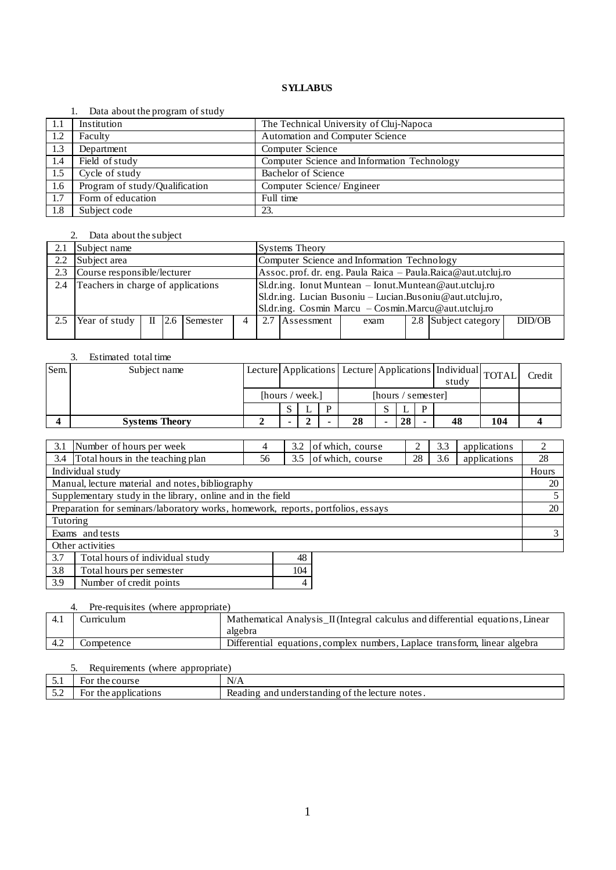#### 1. Data about the program of study

|      | $\sim$ and about the program of beau |                                             |
|------|--------------------------------------|---------------------------------------------|
| -1.1 | Institution                          | The Technical University of Cluj-Napoca     |
| 1.2  | Faculty                              | Automation and Computer Science             |
| 1.3  | Department                           | Computer Science                            |
| 1.4  | Field of study                       | Computer Science and Information Technology |
| 1.5  | Cycle of study                       | Bachelor of Science                         |
| 1.6  | Program of study/Qualification       | Computer Science/ Engineer                  |
| 1.7  | Form of education                    | Full time                                   |
| 1.8  | Subject code                         | 23.                                         |

## 2. Data about the subject

| 2.1 | Subject name                       |       |  |              | <b>Systems Theory</b>                                     |  |                                             |      |  |                                                                |        |  |
|-----|------------------------------------|-------|--|--------------|-----------------------------------------------------------|--|---------------------------------------------|------|--|----------------------------------------------------------------|--------|--|
| 2.2 | Subject area                       |       |  |              |                                                           |  | Computer Science and Information Technology |      |  |                                                                |        |  |
| 2.3 | Course responsible/lecturer        |       |  |              |                                                           |  |                                             |      |  | Assoc. prof. dr. eng. Paula Raica - Paula. Raica@aut.utcluj.ro |        |  |
| 2.4 | Teachers in charge of applications |       |  |              | Sl.dr.ing. Ionut Muntean - Ionut.Muntean@aut.utcluj.ro    |  |                                             |      |  |                                                                |        |  |
|     |                                    |       |  |              | Sl.dr.ing. Lucian Busoniu - Lucian.Busoniu@aut.utcluj.ro, |  |                                             |      |  |                                                                |        |  |
|     |                                    |       |  |              | Sl.dr.ing. Cosmin Marcu - Cosmin.Marcu@aut.utcluj.ro      |  |                                             |      |  |                                                                |        |  |
| 2.5 | Year of study                      | $\Pi$ |  | 2.6 Semester |                                                           |  | Assessment                                  | exam |  | 2.8 Subject category                                           | DID/OB |  |
|     |                                    |       |  |              |                                                           |  |                                             |      |  |                                                                |        |  |

## 3. Estimated total time

| Sem. | Subject name          |                 |  |                    |    | Lecture Applications   Lecture   Applications   Individual   TOTAL |    | study |    | Credit |  |
|------|-----------------------|-----------------|--|--------------------|----|--------------------------------------------------------------------|----|-------|----|--------|--|
|      |                       | [hours / week.] |  | [hours / semester] |    |                                                                    |    |       |    |        |  |
|      |                       |                 |  |                    |    |                                                                    |    |       |    |        |  |
|      | <b>Systems Theory</b> |                 |  |                    | 28 |                                                                    | 28 |       | 48 | 104    |  |

| 3.1              | Number of hours per week                                                         | 4  | 3.2 | of which, course | ◠  | 3.3 | applications |       |
|------------------|----------------------------------------------------------------------------------|----|-----|------------------|----|-----|--------------|-------|
| 3.4              | Total hours in the teaching plan                                                 | 56 | 3.5 | of which, course | 28 | 3.6 | applications | 28    |
| Individual study |                                                                                  |    |     |                  |    |     |              | Hours |
|                  | Manual, lecture material and notes, bibliography                                 |    |     |                  |    |     |              | 20    |
|                  | Supplementary study in the library, online and in the field                      |    |     |                  |    |     |              |       |
|                  | Preparation for seminars/laboratory works, homework, reports, portfolios, essays |    |     |                  |    |     |              | 20    |
| Tutoring         |                                                                                  |    |     |                  |    |     |              |       |
| Exams and tests  |                                                                                  |    |     |                  |    |     |              |       |
| Other activities |                                                                                  |    |     |                  |    |     |              |       |
| 3.7              | Total hours of individual study                                                  |    | 48  |                  |    |     |              |       |

| $\cdot$ $\cdot$ $\cdot$ | Total nours of murviuudi stuuv |  |
|-------------------------|--------------------------------|--|
| 3.8                     | Total hours per semester       |  |
| 3.9                     | Number of credit points        |  |
|                         |                                |  |

## 4. Pre-requisites (where appropriate)

| 4.1  | Curriculum | Mathematical Analysis_II (Integral calculus and differential equations, Linear |
|------|------------|--------------------------------------------------------------------------------|
|      |            | algebra                                                                        |
| -4.2 | Competence | Differential equations, complex numbers, Laplace transform, linear algebra     |

# 5. Requirements (where appropriate)

| ◡.         | e course :<br>the<br>For | $\sim$<br>N/A                                                                   |
|------------|--------------------------|---------------------------------------------------------------------------------|
| - -<br>۔۔۔ | the applications<br>For  | and<br>understanding<br>notes.<br>the<br>e lecture<br>Reading<br>O <sup>1</sup> |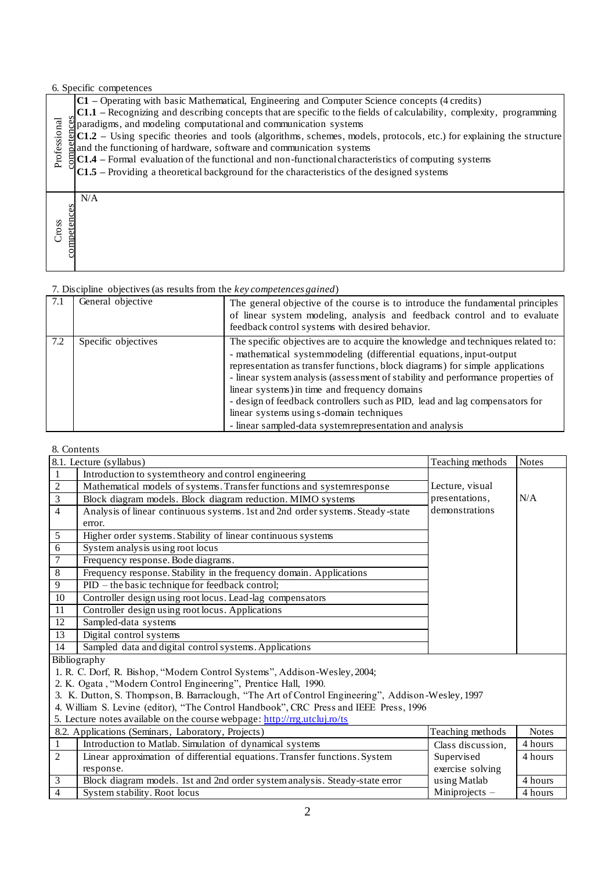### 6. Specific competences

|              | $C1$ – Operating with basic Mathematical, Engineering and Computer Science concepts (4 credits)                                    |
|--------------|------------------------------------------------------------------------------------------------------------------------------------|
|              | C1.1 – Recognizing and describing concepts that are specific to the fields of calculability, complexity, programming               |
|              | $\ddot{\mathcal{B}}$ paradigms, and modeling computational and communication systems                                               |
|              | $\frac{5}{2}$ C1.2 – Using specific theories and tools (algorithms, schemes, models, protocols, etc.) for explaining the structure |
|              | gand the functioning of hardware, software and communication systems                                                               |
| Professional | $\frac{1}{3}$ C1.4 – Formal evaluation of the functional and non-functional characteristics of computing systems                   |
|              | $ C1.5 -$ Providing a theoretical background for the characteristics of the designed systems                                       |
|              |                                                                                                                                    |
|              | N/A                                                                                                                                |
|              |                                                                                                                                    |
| TOSS.        |                                                                                                                                    |
|              | competences                                                                                                                        |
|              |                                                                                                                                    |
|              |                                                                                                                                    |
|              |                                                                                                                                    |

## 7. Discipline objectives (as results from the *key competences gained*)

| 7.1 | General objective   | The general objective of the course is to introduce the fundamental principles<br>of linear system modeling, analysis and feedback control and to evaluate<br>feedback control systems with desired behavior.                                                                                                                                                                                                                                                                                                                                                      |
|-----|---------------------|--------------------------------------------------------------------------------------------------------------------------------------------------------------------------------------------------------------------------------------------------------------------------------------------------------------------------------------------------------------------------------------------------------------------------------------------------------------------------------------------------------------------------------------------------------------------|
| 7.2 | Specific objectives | The specific objectives are to acquire the knowledge and techniques related to:<br>- mathematical systemmodeling (differential equations, input-output<br>representation as transfer functions, block diagrams) for simple applications<br>- linear system analysis (assessment of stability and performance properties of<br>linear systems) in time and frequency domains<br>- design of feedback controllers such as PID, lead and lag compensators for<br>linear systems using s-domain techniques<br>- linear sampled-data system representation and analysis |

## 8. Contents

| Professional         | gparadigms, and modeling computational and communication systems<br>$ C1.2 - U\sin g$ specific theories and tools (algorithms, schemes, models, protocols, etc.) for explaining the structure<br>and the functioning of hardware, software and communication systems<br>C1.4 - Formal evaluation of the functional and non-functional characteristics of computing systems<br>$C1.5$ – Providing a theoretical background for the characteristics of the designed systems |                                                                                                                                                                                                                                                                                                                                                                                                                                                                                                                                                                    |                                  |                                 |  |  |  |
|----------------------|---------------------------------------------------------------------------------------------------------------------------------------------------------------------------------------------------------------------------------------------------------------------------------------------------------------------------------------------------------------------------------------------------------------------------------------------------------------------------|--------------------------------------------------------------------------------------------------------------------------------------------------------------------------------------------------------------------------------------------------------------------------------------------------------------------------------------------------------------------------------------------------------------------------------------------------------------------------------------------------------------------------------------------------------------------|----------------------------------|---------------------------------|--|--|--|
| competences<br>Cross | N/A                                                                                                                                                                                                                                                                                                                                                                                                                                                                       |                                                                                                                                                                                                                                                                                                                                                                                                                                                                                                                                                                    |                                  |                                 |  |  |  |
|                      | 7. Discipline objectives (as results from the key competences gained)                                                                                                                                                                                                                                                                                                                                                                                                     |                                                                                                                                                                                                                                                                                                                                                                                                                                                                                                                                                                    |                                  |                                 |  |  |  |
| 7.1                  | General objective                                                                                                                                                                                                                                                                                                                                                                                                                                                         | The general objective of the course is to introduce the fundamental principles<br>of linear system modeling, analysis and feedback control and to evaluate<br>feedback control systems with desired behavior.                                                                                                                                                                                                                                                                                                                                                      |                                  |                                 |  |  |  |
| 7.2                  | Specific objectives                                                                                                                                                                                                                                                                                                                                                                                                                                                       | The specific objectives are to acquire the knowledge and techniques related to:<br>- mathematical systemmodeling (differential equations, input-output<br>representation as transfer functions, block diagrams) for simple applications<br>- linear system analysis (assessment of stability and performance properties of<br>linear systems) in time and frequency domains<br>- design of feedback controllers such as PID, lead and lag compensators for<br>linear systems using s-domain techniques<br>- linear sampled-data system representation and analysis |                                  |                                 |  |  |  |
|                      | 8. Contents                                                                                                                                                                                                                                                                                                                                                                                                                                                               |                                                                                                                                                                                                                                                                                                                                                                                                                                                                                                                                                                    |                                  |                                 |  |  |  |
|                      | 8.1. Lecture (syllabus)                                                                                                                                                                                                                                                                                                                                                                                                                                                   |                                                                                                                                                                                                                                                                                                                                                                                                                                                                                                                                                                    | Teaching methods                 | <b>Notes</b>                    |  |  |  |
| 1                    | Introduction to system theory and control engineering                                                                                                                                                                                                                                                                                                                                                                                                                     |                                                                                                                                                                                                                                                                                                                                                                                                                                                                                                                                                                    |                                  |                                 |  |  |  |
|                      |                                                                                                                                                                                                                                                                                                                                                                                                                                                                           |                                                                                                                                                                                                                                                                                                                                                                                                                                                                                                                                                                    |                                  |                                 |  |  |  |
| $\overline{c}$       |                                                                                                                                                                                                                                                                                                                                                                                                                                                                           | Mathematical models of systems. Transfer functions and system response                                                                                                                                                                                                                                                                                                                                                                                                                                                                                             | Lecture, visual                  |                                 |  |  |  |
| 3                    | Block diagram models. Block diagram reduction. MIMO systems                                                                                                                                                                                                                                                                                                                                                                                                               |                                                                                                                                                                                                                                                                                                                                                                                                                                                                                                                                                                    | presentations,                   | N/A                             |  |  |  |
| $\overline{4}$       |                                                                                                                                                                                                                                                                                                                                                                                                                                                                           | Analysis of linear continuous systems. 1st and 2nd order systems. Steady-state                                                                                                                                                                                                                                                                                                                                                                                                                                                                                     | demonstrations                   |                                 |  |  |  |
|                      | error.                                                                                                                                                                                                                                                                                                                                                                                                                                                                    |                                                                                                                                                                                                                                                                                                                                                                                                                                                                                                                                                                    |                                  |                                 |  |  |  |
| 5                    | Higher order systems. Stability of linear continuous systems                                                                                                                                                                                                                                                                                                                                                                                                              |                                                                                                                                                                                                                                                                                                                                                                                                                                                                                                                                                                    |                                  |                                 |  |  |  |
| 6                    | System analysis using root locus                                                                                                                                                                                                                                                                                                                                                                                                                                          |                                                                                                                                                                                                                                                                                                                                                                                                                                                                                                                                                                    |                                  |                                 |  |  |  |
| 7                    | Frequency response. Bode diagrams.                                                                                                                                                                                                                                                                                                                                                                                                                                        |                                                                                                                                                                                                                                                                                                                                                                                                                                                                                                                                                                    |                                  |                                 |  |  |  |
| 8                    |                                                                                                                                                                                                                                                                                                                                                                                                                                                                           | Frequency response. Stability in the frequency domain. Applications                                                                                                                                                                                                                                                                                                                                                                                                                                                                                                |                                  |                                 |  |  |  |
| $\overline{9}$       | PID – the basic technique for feedback control;                                                                                                                                                                                                                                                                                                                                                                                                                           |                                                                                                                                                                                                                                                                                                                                                                                                                                                                                                                                                                    |                                  |                                 |  |  |  |
| 10                   | Controller design using root locus. Lead-lag compensators                                                                                                                                                                                                                                                                                                                                                                                                                 |                                                                                                                                                                                                                                                                                                                                                                                                                                                                                                                                                                    |                                  |                                 |  |  |  |
| 11<br>12             | Controller design using root locus. Applications<br>Sampled-data systems                                                                                                                                                                                                                                                                                                                                                                                                  |                                                                                                                                                                                                                                                                                                                                                                                                                                                                                                                                                                    |                                  |                                 |  |  |  |
| 13                   | Digital control systems                                                                                                                                                                                                                                                                                                                                                                                                                                                   |                                                                                                                                                                                                                                                                                                                                                                                                                                                                                                                                                                    |                                  |                                 |  |  |  |
| 14                   | Sampled data and digital control systems. Applications                                                                                                                                                                                                                                                                                                                                                                                                                    |                                                                                                                                                                                                                                                                                                                                                                                                                                                                                                                                                                    |                                  |                                 |  |  |  |
|                      | Bibliography                                                                                                                                                                                                                                                                                                                                                                                                                                                              |                                                                                                                                                                                                                                                                                                                                                                                                                                                                                                                                                                    |                                  |                                 |  |  |  |
|                      |                                                                                                                                                                                                                                                                                                                                                                                                                                                                           | 1. R. C. Dorf, R. Bishop, "Modern Control Systems", Addison-Wesley, 2004;                                                                                                                                                                                                                                                                                                                                                                                                                                                                                          |                                  |                                 |  |  |  |
|                      | 2. K. Ogata, "Modern Control Engineering", Prentice Hall, 1990.                                                                                                                                                                                                                                                                                                                                                                                                           |                                                                                                                                                                                                                                                                                                                                                                                                                                                                                                                                                                    |                                  |                                 |  |  |  |
|                      |                                                                                                                                                                                                                                                                                                                                                                                                                                                                           | 3. K. Dutton, S. Thompson, B. Barraclough, "The Art of Control Engineering", Addison-Wesley, 1997                                                                                                                                                                                                                                                                                                                                                                                                                                                                  |                                  |                                 |  |  |  |
|                      |                                                                                                                                                                                                                                                                                                                                                                                                                                                                           | 4. William S. Levine (editor), "The Control Handbook", CRC Press and IEEE Press, 1996                                                                                                                                                                                                                                                                                                                                                                                                                                                                              |                                  |                                 |  |  |  |
|                      | 5. Lecture notes available on the course webpage: http://rrg.utcluj.ro/ts                                                                                                                                                                                                                                                                                                                                                                                                 |                                                                                                                                                                                                                                                                                                                                                                                                                                                                                                                                                                    |                                  |                                 |  |  |  |
|                      | 8.2. Applications (Seminars, Laboratory, Projects)                                                                                                                                                                                                                                                                                                                                                                                                                        |                                                                                                                                                                                                                                                                                                                                                                                                                                                                                                                                                                    | Teaching methods                 | <b>Notes</b>                    |  |  |  |
| 1<br>$\overline{2}$  | Introduction to Matlab. Simulation of dynamical systems                                                                                                                                                                                                                                                                                                                                                                                                                   |                                                                                                                                                                                                                                                                                                                                                                                                                                                                                                                                                                    | Class discussion,                | 4 hours                         |  |  |  |
|                      | response.                                                                                                                                                                                                                                                                                                                                                                                                                                                                 | Linear approximation of differential equations. Transfer functions. System                                                                                                                                                                                                                                                                                                                                                                                                                                                                                         | Supervised<br>exercise solving   | 4 hours                         |  |  |  |
| $\mathfrak{Z}$       |                                                                                                                                                                                                                                                                                                                                                                                                                                                                           | Block diagram models. 1st and 2nd order system analysis. Steady-state error                                                                                                                                                                                                                                                                                                                                                                                                                                                                                        | using Matlab<br>Miniprojects $-$ | 4 hours<br>$\overline{4}$ hours |  |  |  |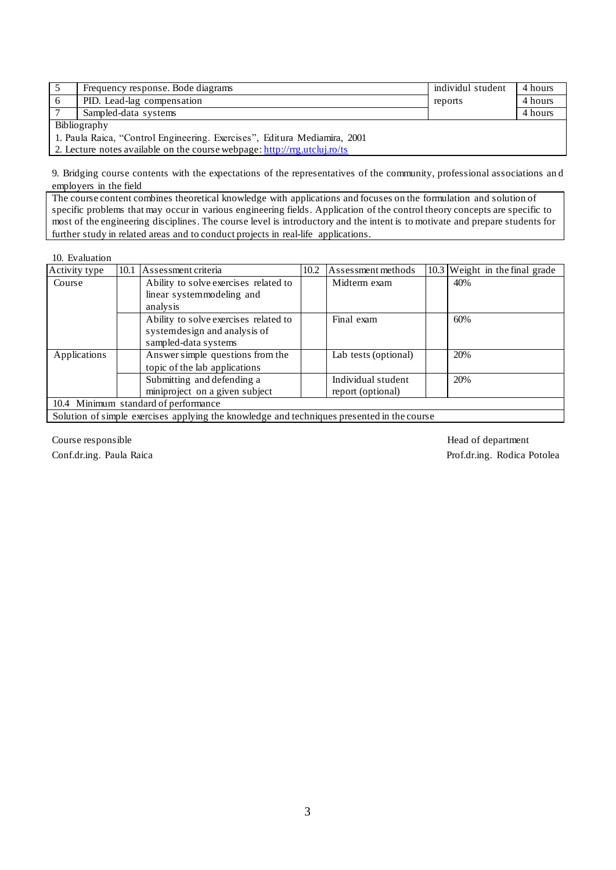| Frequency response. Bode diagrams                                   | individul student | 4 hours |  |  |  |  |
|---------------------------------------------------------------------|-------------------|---------|--|--|--|--|
| PID. Lead-lag compensation                                          | reports           | 4 hours |  |  |  |  |
| Sampled-data systems                                                |                   | 4 hours |  |  |  |  |
| Bibliography                                                        |                   |         |  |  |  |  |
| 1 Dayle Daise, "Control Engineering Evenings", Edity Modianus, 2001 |                   |         |  |  |  |  |

1. Paula Raica, "Control Engineering. Exercises", Editura Mediamira, 2001

2. Lecture notes available on the course webpage[: http://rrg.utcluj.ro/ts](http://rrg.utcluj.ro/ts)

9. Bridging course contents with the expectations of the representatives of the community, professional associations an d employers in the field

The course content combines theoretical knowledge with applications and focuses on the formulation and solution of specific problems that may occur in various engineering fields. Application of the control theory concepts are specific to most of the engineering disciplines. The course level is introductory and the intent is to motivate and prepare students for further study in related areas and to conduct projects in real-life applications.

10. Evaluation

| Activity type | 10.1                                 | Assessment criteria                                                                        | 10.2 | Assessment methods   |  | 10.3 Weight in the final grade |  |  |  |
|---------------|--------------------------------------|--------------------------------------------------------------------------------------------|------|----------------------|--|--------------------------------|--|--|--|
| Course        |                                      | Ability to solve exercises related to                                                      |      | Midterm exam         |  | 40%                            |  |  |  |
|               |                                      | linear systemmodeling and                                                                  |      |                      |  |                                |  |  |  |
|               |                                      | analysis                                                                                   |      |                      |  |                                |  |  |  |
|               |                                      | Ability to solve exercises related to                                                      |      | Final exam           |  | 60%                            |  |  |  |
|               |                                      | systemdesign and analysis of                                                               |      |                      |  |                                |  |  |  |
|               |                                      | sampled-data systems                                                                       |      |                      |  |                                |  |  |  |
| Applications  |                                      | Answer simple questions from the                                                           |      | Lab tests (optional) |  | 20%                            |  |  |  |
|               |                                      | topic of the lab applications                                                              |      |                      |  |                                |  |  |  |
|               |                                      | Submitting and defending a                                                                 |      | Individual student   |  | 20%                            |  |  |  |
|               |                                      | miniproject on a given subject                                                             |      | report (optional)    |  |                                |  |  |  |
|               | 10.4 Minimum standard of performance |                                                                                            |      |                      |  |                                |  |  |  |
|               |                                      | Solution of simple exercises applying the knowledge and techniques presented in the course |      |                      |  |                                |  |  |  |

Course responsible Head of department Conf.dr.ing. Paula Raica Prof.dr.ing. Rodica Potolea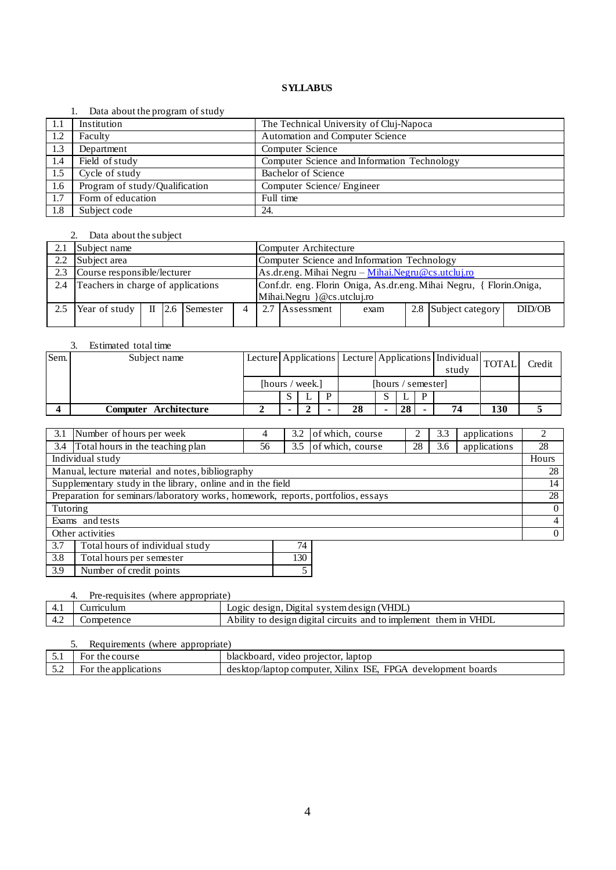#### 1. Data about the program of study

| -1.1 | Institution                    | The Technical University of Cluj-Napoca     |
|------|--------------------------------|---------------------------------------------|
| 1.2  | Faculty                        | Automation and Computer Science             |
| 1.3  | Department                     | Computer Science                            |
| 1.4  | Field of study                 | Computer Science and Information Technology |
| 1.5  | Cycle of study                 | Bachelor of Science                         |
| 1.6  | Program of study/Qualification | Computer Science/ Engineer                  |
| 1.7  | Form of education              | Full time                                   |
| 1.8  | Subject code                   | 24.                                         |

## 2. Data about the subject

|     | Subject name                       |  |  |                          | Computer Architecture                             |                                                                     |                |      |  |                      |        |
|-----|------------------------------------|--|--|--------------------------|---------------------------------------------------|---------------------------------------------------------------------|----------------|------|--|----------------------|--------|
| 2.2 | Subject area                       |  |  |                          | Computer Science and Information Technology       |                                                                     |                |      |  |                      |        |
| 2.3 | Course responsible/lecturer        |  |  |                          | As.dr.eng. Mihai Negru - Mihai.Negru@cs.utcluj.ro |                                                                     |                |      |  |                      |        |
| 2.4 | Teachers in charge of applications |  |  |                          |                                                   | Conf.dr. eng. Florin Oniga, As.dr.eng. Mihai Negru, { Florin.Oniga, |                |      |  |                      |        |
|     |                                    |  |  |                          |                                                   | $Mihai. Negru \} @cs. uteluj. ro$                                   |                |      |  |                      |        |
| 2.5 | Year of study                      |  |  | $\text{II}$ 2.6 Semester |                                                   |                                                                     | 2.7 Assessment | exam |  | 2.8 Subject category | DID/OB |
|     |                                    |  |  |                          |                                                   |                                                                     |                |      |  |                      |        |

## 3. Estimated total time

| Sem. | Subject name          |                 |  |                    |    |  |    |   | Lecture Applications   Lecture   Applications   Individual   TOTAL  <br>study |     | Credit |
|------|-----------------------|-----------------|--|--------------------|----|--|----|---|-------------------------------------------------------------------------------|-----|--------|
|      |                       | [hours / week.] |  | [hours / semester] |    |  |    |   |                                                                               |     |        |
|      |                       |                 |  | D                  |    |  |    | D |                                                                               |     |        |
|      | Computer Architecture |                 |  |                    | 28 |  | 28 |   | 74                                                                            | 130 |        |

| 3.1                                                                              | of which, course<br>Number of hours per week<br>3.2<br>3.3<br>4 |    |     |                  |    | applications | $\mathfrak{D}$ |                |
|----------------------------------------------------------------------------------|-----------------------------------------------------------------|----|-----|------------------|----|--------------|----------------|----------------|
|                                                                                  | 3.4 Total hours in the teaching plan                            | 56 | 3.5 | of which, course | 28 | 3.6          | applications   | 28             |
|                                                                                  | Individual study                                                |    |     |                  |    |              |                | Hours          |
|                                                                                  | Manual, lecture material and notes, bibliography                |    |     |                  |    |              |                | 28             |
| Supplementary study in the library, online and in the field                      |                                                                 |    |     |                  |    |              | 14             |                |
| Preparation for seminars/laboratory works, homework, reports, portfolios, essays |                                                                 |    |     |                  |    |              | 28             |                |
| Tutoring                                                                         |                                                                 |    |     |                  |    |              |                | $\overline{0}$ |
|                                                                                  | Exams and tests                                                 |    |     |                  |    |              |                | $\overline{4}$ |
| Other activities                                                                 |                                                                 |    |     |                  |    |              | $\overline{0}$ |                |
| 3.7                                                                              | Total hours of individual study                                 |    | 74  |                  |    |              |                |                |
| 3.8<br>130<br>Total hours per semester                                           |                                                                 |    |     |                  |    |              |                |                |

# 4. Pre-requisites (where appropriate)

3.9 Number of credit points 5

|     | . .<br>THE TEGMENTERS INTEREDUCED PLANES |                                                                  |  |  |  |  |
|-----|------------------------------------------|------------------------------------------------------------------|--|--|--|--|
| 4.1 | urnculum                                 | Logic design, Digital system design (VHDL)                       |  |  |  |  |
| 4.4 | Competence                               | Ability to design digital circuits and to implement them in VHDL |  |  |  |  |

| Requirements (where appropriate) |                      |                                                              |  |  |  |  |
|----------------------------------|----------------------|--------------------------------------------------------------|--|--|--|--|
|                                  | For the course       | blackboard, video projector, laptop                          |  |  |  |  |
| ے ک                              | For the applications | desktop/laptop.computer. Xilinx ISE, FPGA development boards |  |  |  |  |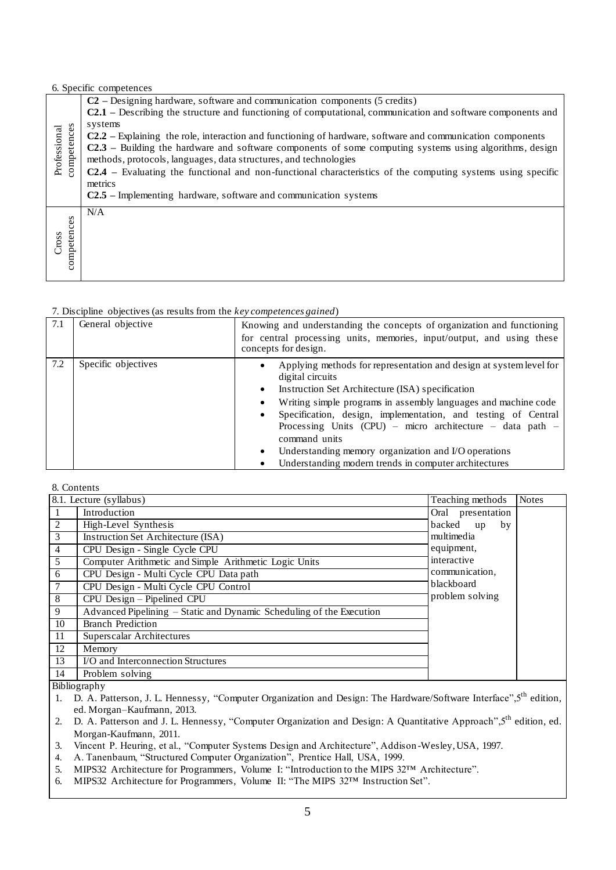## 6. Specific competences

| competences<br>Professional | $C2$ – Designing hardware, software and communication components (5 credits)<br>C2.1 – Describing the structure and functioning of computational, communication and software components and<br>systems<br>$C2.2$ – Explaining the role, interaction and functioning of hardware, software and communication components<br>C2.3 – Building the hardware and software components of some computing systems using algorithms, design<br>methods, protocols, languages, data structures, and technologies<br><b>C2.4</b> – Evaluating the functional and non-functional characteristics of the computing systems using specific<br>metrics<br>$C2.5$ – Implementing hardware, software and communication systems |
|-----------------------------|--------------------------------------------------------------------------------------------------------------------------------------------------------------------------------------------------------------------------------------------------------------------------------------------------------------------------------------------------------------------------------------------------------------------------------------------------------------------------------------------------------------------------------------------------------------------------------------------------------------------------------------------------------------------------------------------------------------|
| competences<br>Cross        | N/A                                                                                                                                                                                                                                                                                                                                                                                                                                                                                                                                                                                                                                                                                                          |

#### 7. Discipline objectives (as results from the *key competences gained*)

| 7.1 | General objective   | Knowing and understanding the concepts of organization and functioning<br>for central processing units, memories, input/output, and using these<br>concepts for design.                                                                                                                                                                                                                                                                                                      |
|-----|---------------------|------------------------------------------------------------------------------------------------------------------------------------------------------------------------------------------------------------------------------------------------------------------------------------------------------------------------------------------------------------------------------------------------------------------------------------------------------------------------------|
| 7.2 | Specific objectives | Applying methods for representation and design at system level for<br>digital circuits<br>Instruction Set Architecture (ISA) specification<br>Writing simple programs in assembly languages and machine code<br>Specification, design, implementation, and testing of Central<br>Processing Units (CPU) – micro architecture – data path –<br>command units<br>Understanding memory organization and I/O operations<br>Understanding modern trends in computer architectures |

8. Contents

|                | 8.1. Lecture (syllabus)                                              | Teaching methods   | <b>Notes</b> |
|----------------|----------------------------------------------------------------------|--------------------|--------------|
| $\mathbf{I}$   | Introduction                                                         | Oral presentation  |              |
| 2              | High-Level Synthesis                                                 | backed<br>by<br>up |              |
| 3              | Instruction Set Architecture (ISA)                                   | multimedia         |              |
| $\overline{4}$ | CPU Design - Single Cycle CPU                                        | equipment,         |              |
| 5              | Computer Arithmetic and Simple Arithmetic Logic Units                | interactive        |              |
| 6              | CPU Design - Multi Cycle CPU Data path                               | communication,     |              |
|                | CPU Design - Multi Cycle CPU Control                                 | blackboard         |              |
| 8              | CPU Design - Pipelined CPU                                           | problem solving    |              |
| 9              | Advanced Pipelining – Static and Dynamic Scheduling of the Execution |                    |              |
| 10             | <b>Branch Prediction</b>                                             |                    |              |
| 11             | Superscalar Architectures                                            |                    |              |
| 12             | Memory                                                               |                    |              |
| 13             | I/O and Interconnection Structures                                   |                    |              |
| 14             | Problem solving                                                      |                    |              |

Bibliography

- 1. D. A. Patterson, J. L. Hennessy, "Computer Organization and Design: The Hardware/Software Interface", 5<sup>th</sup> edition, ed. Morgan–Kaufmann, 2013.
- 2. D. A. Patterson and J. L. Hennessy, "Computer Organization and Design: A Quantitative Approach", 5<sup>th</sup> edition, ed. Morgan-Kaufmann, 2011.
- 3. Vincent P. Heuring, et al., "Computer Systems Design and Architecture", Addison-Wesley, USA, 1997.
- 4. A. Tanenbaum, "Structured Computer Organization", Prentice Hall, USA, 1999.
- 5. MIPS32 Architecture for Programmers, Volume I: "Introduction to the MIPS 32™ Architecture".
- 6. MIPS32 Architecture for Programmers, Volume II: "The MIPS 32™ Instruction Set".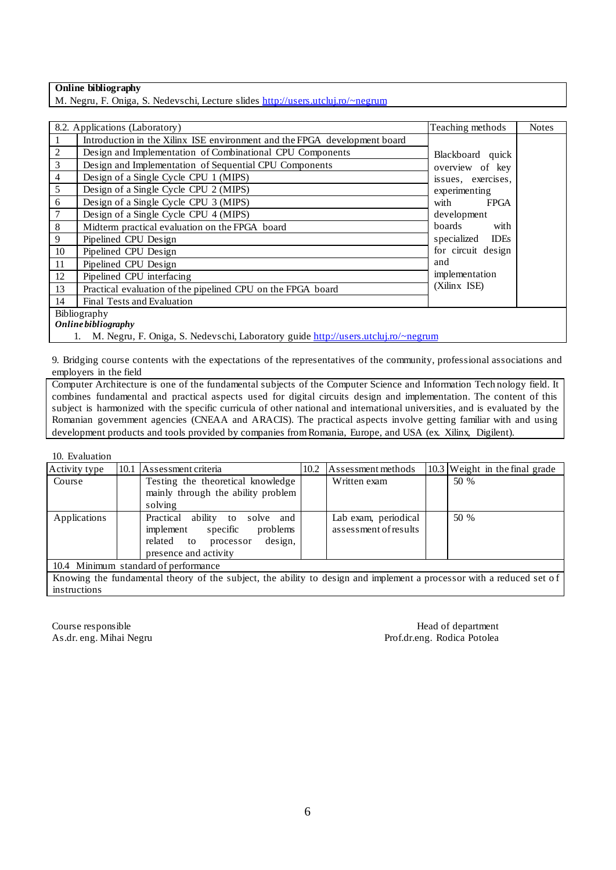## **Online bibliography**

M. Negru, F. Oniga, S. Nedevschi, Lecture slides <http://users.utcluj.ro/~negrum>

|                     | 8.2. Applications (Laboratory)                                                    | Teaching methods           | <b>Notes</b> |  |  |  |
|---------------------|-----------------------------------------------------------------------------------|----------------------------|--------------|--|--|--|
|                     | Introduction in the Xilinx ISE environment and the FPGA development board         |                            |              |  |  |  |
| $\boldsymbol{2}$    | Design and Implementation of Combinational CPU Components                         | Blackboard quick           |              |  |  |  |
| $\mathfrak{Z}$      | Design and Implementation of Sequential CPU Components                            | overview of key            |              |  |  |  |
| $\overline{4}$      | Design of a Single Cycle CPU 1 (MIPS)                                             | issues, exercises,         |              |  |  |  |
| 5                   | Design of a Single Cycle CPU 2 (MIPS)                                             | experimenting              |              |  |  |  |
| 6                   | Design of a Single Cycle CPU 3 (MIPS)                                             | with<br><b>FPGA</b>        |              |  |  |  |
| $\boldsymbol{7}$    | Design of a Single Cycle CPU 4 (MIPS)                                             | development                |              |  |  |  |
| $\,8\,$             | Midterm practical evaluation on the FPGA board                                    | boards<br>with             |              |  |  |  |
| 9                   | Pipelined CPU Design                                                              | specialized<br><b>IDEs</b> |              |  |  |  |
| 10                  | Pipelined CPU Design                                                              | for circuit design         |              |  |  |  |
| 11                  | Pipelined CPU Design                                                              | and                        |              |  |  |  |
| 12                  | Pipelined CPU interfacing                                                         | implementation             |              |  |  |  |
| 13                  | Practical evaluation of the pipelined CPU on the FPGA board                       | (Xilinx ISE)               |              |  |  |  |
| 14                  | Final Tests and Evaluation                                                        |                            |              |  |  |  |
| Bibliography        |                                                                                   |                            |              |  |  |  |
| Online bibliography |                                                                                   |                            |              |  |  |  |
|                     | M. Negru, F. Oniga, S. Nedevschi, Laboratory guide http://users.utcluj.ro/~negrum |                            |              |  |  |  |

9. Bridging course contents with the expectations of the representatives of the community, professional associations and employers in the field

Computer Architecture is one of the fundamental subjects of the Computer Science and Information Tech nology field. It combines fundamental and practical aspects used for digital circuits design and implementation. The content of this subject is harmonized with the specific curricula of other national and international universities, and is evaluated by the Romanian government agencies (CNEAA and ARACIS). The practical aspects involve getting familiar with and using development products and tools provided by companies from Romania, Europe, and USA (ex. Xilinx, Digilent).

10. Evaluation

| Activity type                                                                                                        |  | 10.1 Assessment criteria                                                                                                                    | 10.2 | Assessment methods                            |  | $10.3$ Weight in the final grade |
|----------------------------------------------------------------------------------------------------------------------|--|---------------------------------------------------------------------------------------------------------------------------------------------|------|-----------------------------------------------|--|----------------------------------|
| Course                                                                                                               |  | Testing the theoretical knowledge                                                                                                           |      | Written exam                                  |  | 50 %                             |
|                                                                                                                      |  | mainly through the ability problem                                                                                                          |      |                                               |  |                                  |
|                                                                                                                      |  | solving                                                                                                                                     |      |                                               |  |                                  |
| Applications                                                                                                         |  | Practical<br>ability<br>solve and<br>to<br>implement<br>specific<br>problems<br>design,<br>related to<br>processor<br>presence and activity |      | Lab exam, periodical<br>assessment of results |  | 50 %                             |
| 10.4 Minimum standard of performance                                                                                 |  |                                                                                                                                             |      |                                               |  |                                  |
| Knowing the fundamental theory of the subject, the ability to design and implement a processor with a reduced set of |  |                                                                                                                                             |      |                                               |  |                                  |

Knowing the fundamental theory of the subject, the ability to design and implement a processor with a reduced set o f instructions

Course responsible **Head of department** As.dr. eng. Mihai Negru **As.dr. eng. Mihai Negru** Prof.dr.eng. Rodica Potolea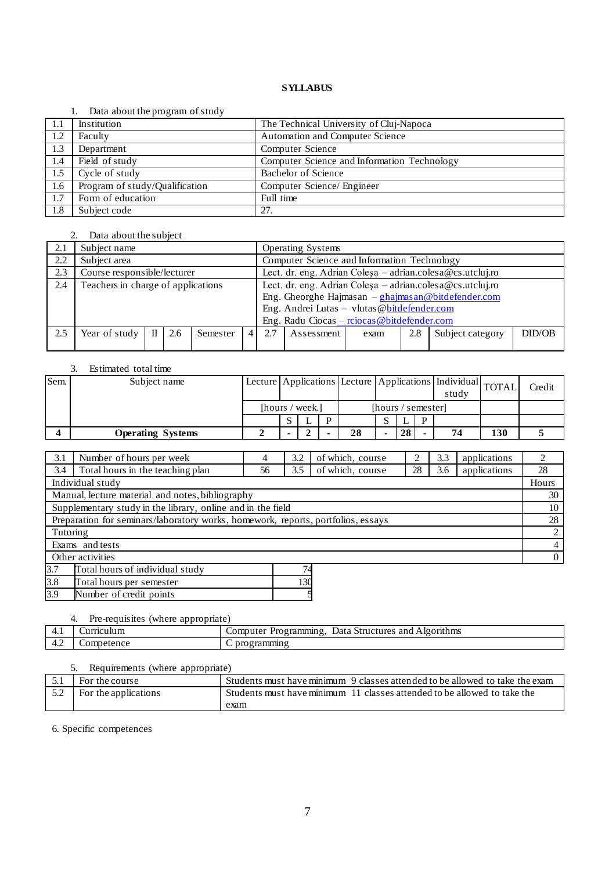#### 1. Data about the program of study

| - 1.1 | Institution                    | The Technical University of Cluj-Napoca     |
|-------|--------------------------------|---------------------------------------------|
| 1.2   | Faculty                        | <b>Automation and Computer Science</b>      |
| 1.3   | Department                     | Computer Science                            |
| 1.4   | Field of study                 | Computer Science and Information Technology |
| 1.5   | Cycle of study                 | Bachelor of Science                         |
| 1.6   | Program of study/Qualification | Computer Science/ Engineer                  |
| 1.7   | Form of education              | Full time                                   |
| 1.8   | Subject code                   | 27.                                         |

## 2. Data about the subject

| 2.1 | Subject name                       |              |     |          |           |                                                                                                                         | <b>Operating Systems</b>                                  |  |  |  |  |  |
|-----|------------------------------------|--------------|-----|----------|-----------|-------------------------------------------------------------------------------------------------------------------------|-----------------------------------------------------------|--|--|--|--|--|
| 2.2 | Subject area                       |              |     |          |           |                                                                                                                         | Computer Science and Information Technology               |  |  |  |  |  |
| 2.3 | Course responsible/lecturer        |              |     |          |           |                                                                                                                         | Lect. dr. eng. Adrian Coleşa – adrian.colesa@cs.utcluj.ro |  |  |  |  |  |
| 2.4 | Teachers in charge of applications |              |     |          |           |                                                                                                                         | Lect. dr. eng. Adrian Coleşa - adrian.colesa@cs.utcluj.ro |  |  |  |  |  |
|     |                                    |              |     |          |           | Eng. Gheorghe Hajmasan $-\frac{\text{ghajmasan}\@{\text{bitdefender.com}}}{\text{ghajmasan}\@{\text{bitdefender.com}}}$ |                                                           |  |  |  |  |  |
|     |                                    |              |     |          |           | Eng. Andrei Lutas - vlutas @bitdefender.com                                                                             |                                                           |  |  |  |  |  |
|     |                                    |              |     |          |           |                                                                                                                         | Eng. Radu Ciocas - rciocas @bitdefender.com               |  |  |  |  |  |
| 2.5 | Year of study                      | $\mathbf{H}$ | 2.6 | Semester | $\vert$ 4 | DID/OB<br>Subject category<br>2.7<br>2.8<br>Assessment<br>exam                                                          |                                                           |  |  |  |  |  |
|     |                                    |              |     |          |           |                                                                                                                         |                                                           |  |  |  |  |  |

#### 3. Estimated total time

| Sem. | Subject name             | Lecture Applications Lecture Applications   Individual TOTAL |  |                 |                    |  |    | study |    | Credit |  |
|------|--------------------------|--------------------------------------------------------------|--|-----------------|--------------------|--|----|-------|----|--------|--|
|      |                          |                                                              |  | [hours / week.] | [hours / semester] |  |    |       |    |        |  |
|      |                          |                                                              |  |                 |                    |  |    |       |    |        |  |
|      | <b>Operating Systems</b> |                                                              |  |                 | 28                 |  | 28 |       | 74 | 130    |  |

| 3.1                                                         | Number of hours per week                                                                       | 4 | 3.2 | of which, course |  | applications<br>3.3 |  | $\mathcal{L}$  |
|-------------------------------------------------------------|------------------------------------------------------------------------------------------------|---|-----|------------------|--|---------------------|--|----------------|
| 3.4                                                         | of which, course<br>Total hours in the teaching plan<br>28<br>applications<br>3.5<br>3.6<br>56 |   |     |                  |  |                     |  | 28             |
|                                                             | Individual study                                                                               |   |     |                  |  |                     |  | Hours          |
|                                                             | Manual, lecture material and notes, bibliography                                               |   |     |                  |  |                     |  | 30             |
| Supplementary study in the library, online and in the field |                                                                                                |   |     |                  |  |                     |  | 10             |
|                                                             | Preparation for seminars/laboratory works, homework, reports, portfolios, essays               |   |     |                  |  |                     |  | 28             |
| Tutoring                                                    |                                                                                                |   |     |                  |  |                     |  | 2              |
|                                                             | Exams and tests                                                                                |   |     |                  |  |                     |  | $\overline{4}$ |
| Other activities                                            |                                                                                                |   |     |                  |  |                     |  | $\overline{0}$ |
| 3.7                                                         | Total hours of individual study                                                                |   |     |                  |  |                     |  |                |
| $ -$                                                        |                                                                                                |   |     |                  |  |                     |  |                |

3.8 Total hours per semester 130<br>3.9 Number of credit points 5 Number of credit points

# 4. Pre-requisites (where appropriate)

| .<br>the contract of the contract of | тіспішігі    | <i>e</i> rammın g<br>.lgonthms<br>omputer<br>. structures<br>. Jata<br>and<br>nσ<br>∸ |
|--------------------------------------|--------------|---------------------------------------------------------------------------------------|
| т.∠                                  | tence<br>nei | -rammin <sup>o</sup><br>viv                                                           |

### 5. Requirements (where appropriate)

|     | For the course       | Students must have minimum 9 classes attended to be allowed to take the exam |
|-----|----------------------|------------------------------------------------------------------------------|
| 5.2 | For the applications | Students must have minimum 11 classes attended to be allowed to take the     |
|     |                      | exam                                                                         |

6. Specific competences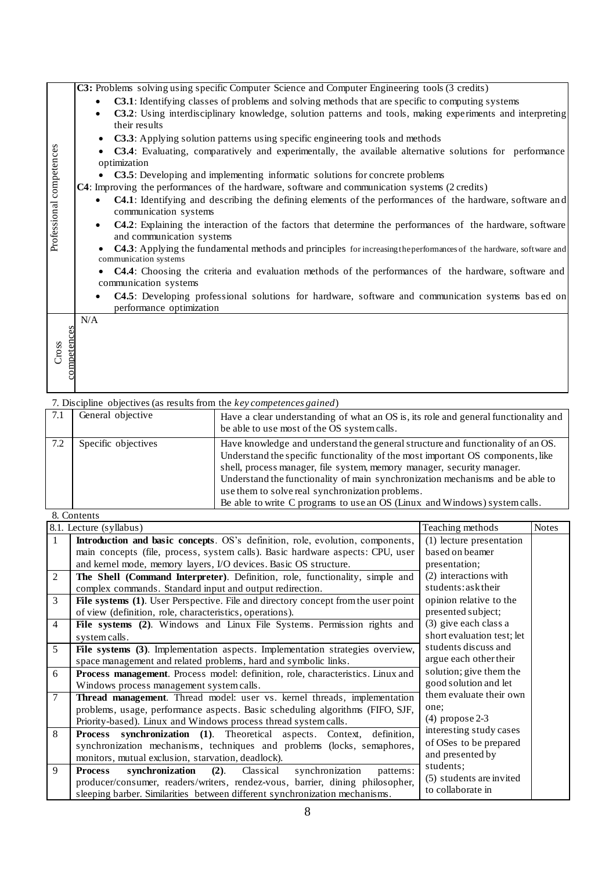|                          | <b>C3:</b> Problems solving using specific Computer Science and Computer Engineering tools (3 credits)                                                 |
|--------------------------|--------------------------------------------------------------------------------------------------------------------------------------------------------|
|                          | <b>C3.1</b> : Identifying classes of problems and solving methods that are specific to computing systems<br>$\bullet$                                  |
|                          | C3.2: Using interdisciplinary knowledge, solution patterns and tools, making experiments and interpreting<br>$\bullet$                                 |
|                          | their results                                                                                                                                          |
|                          | C3.3: Applying solution patterns using specific engineering tools and methods                                                                          |
|                          | C3.4: Evaluating, comparatively and experimentally, the available alternative solutions for performance                                                |
|                          | optimization                                                                                                                                           |
|                          | C3.5: Developing and implementing informatic solutions for concrete problems                                                                           |
|                          | C4: Improving the performances of the hardware, software and communication systems (2 credits)                                                         |
| Professional competences | <b>C4.1</b> : Identifying and describing the defining elements of the performances of the hardware, software and<br>$\bullet$<br>communication systems |
|                          | C4.2: Explaining the interaction of the factors that determine the performances of the hardware, software<br>$\bullet$                                 |
|                          | and communication systems                                                                                                                              |
|                          | C4.3: Applying the fundamental methods and principles for increasing the performances of the hardware, software and<br>communication systems           |
|                          | • C4.4: Choosing the criteria and evaluation methods of the performances of the hardware, software and                                                 |
|                          | communication systems                                                                                                                                  |
|                          | <b>C4.5</b> : Developing professional solutions for hardware, software and communication systems based on<br>$\bullet$<br>performance optimization     |
|                          | N/A                                                                                                                                                    |
|                          |                                                                                                                                                        |
|                          |                                                                                                                                                        |
| Cross                    |                                                                                                                                                        |
| competences              |                                                                                                                                                        |
|                          |                                                                                                                                                        |

| 7.1 | General objective   | Have a clear understanding of what an OS is, its role and general functionality and<br>be able to use most of the OS system calls.                                                                                                                                                                                                                                                                                                                               |
|-----|---------------------|------------------------------------------------------------------------------------------------------------------------------------------------------------------------------------------------------------------------------------------------------------------------------------------------------------------------------------------------------------------------------------------------------------------------------------------------------------------|
| 7.2 | Specific objectives | Have knowledge and understand the general structure and functionality of an OS.<br>Understand the specific functionality of the most important OS components, like<br>shell, process manager, file system, memory manager, security manager.<br>Understand the functionality of main synchronization mechanisms and be able to<br>use them to solve real synchronization problems.<br>Be able to write C programs to use an OS (Linux and Windows) system calls. |
|     | 8. Contents         |                                                                                                                                                                                                                                                                                                                                                                                                                                                                  |

|                | o. Contents<br>8.1. Lecture (syllabus)                                                    | Teaching methods           | <b>Notes</b> |
|----------------|-------------------------------------------------------------------------------------------|----------------------------|--------------|
| $\mathbf{1}$   | Introduction and basic concepts. OS's definition, role, evolution, components,            | (1) lecture presentation   |              |
|                |                                                                                           |                            |              |
|                | main concepts (file, process, system calls). Basic hardware aspects: CPU, user            | based on beamer            |              |
|                | and kernel mode, memory layers, I/O devices. Basic OS structure.                          | presentation;              |              |
| 2              | The Shell (Command Interpreter). Definition, role, functionality, simple and              | (2) interactions with      |              |
|                | complex commands. Standard input and output redirection.                                  | students: ask their        |              |
| 3              | File systems (1). User Perspective. File and directory concept from the user point        | opinion relative to the    |              |
|                | of view (definition, role, characteristics, operations).                                  | presented subject;         |              |
| $\overline{4}$ | File systems (2). Windows and Linux File Systems. Permission rights and                   | (3) give each class a      |              |
|                | system calls.                                                                             | short evaluation test; let |              |
| 5              | File systems (3). Implementation aspects. Implementation strategies overview,             | students discuss and       |              |
|                | space management and related problems, hard and symbolic links.                           | argue each other their     |              |
| 6              | <b>Process management</b> . Process model: definition, role, characteristics. Linux and   | solution; give them the    |              |
|                | Windows process management system calls.                                                  | good solution and let      |              |
| 7              | <b>Thread management.</b> Thread model: user vs. kernel threads, implementation           | them evaluate their own    |              |
|                | problems, usage, performance aspects. Basic scheduling algorithms (FIFO, SJF,             | one:                       |              |
|                | Priority-based). Linux and Windows process thread system calls.                           | $(4)$ propose 2-3          |              |
| 8              | <b>Process synchronization</b> (1). Theoretical aspects. Context,<br>definition,          | interesting study cases    |              |
|                | synchronization mechanisms, techniques and problems (locks, semaphores,                   | of OSes to be prepared     |              |
|                | monitors, mutual exclusion, starvation, deadlock).                                        | and presented by           |              |
| 9              | synchronization<br>synchronization<br>$(2)$ .<br><b>Process</b><br>Classical<br>patterns: | students;                  |              |
|                | producer/consumer, readers/writers, rendez-vous, barrier, dining philosopher,             | (5) students are invited   |              |
|                |                                                                                           | to collaborate in          |              |
|                | sleeping barber. Similarities between different synchronization mechanisms.               |                            |              |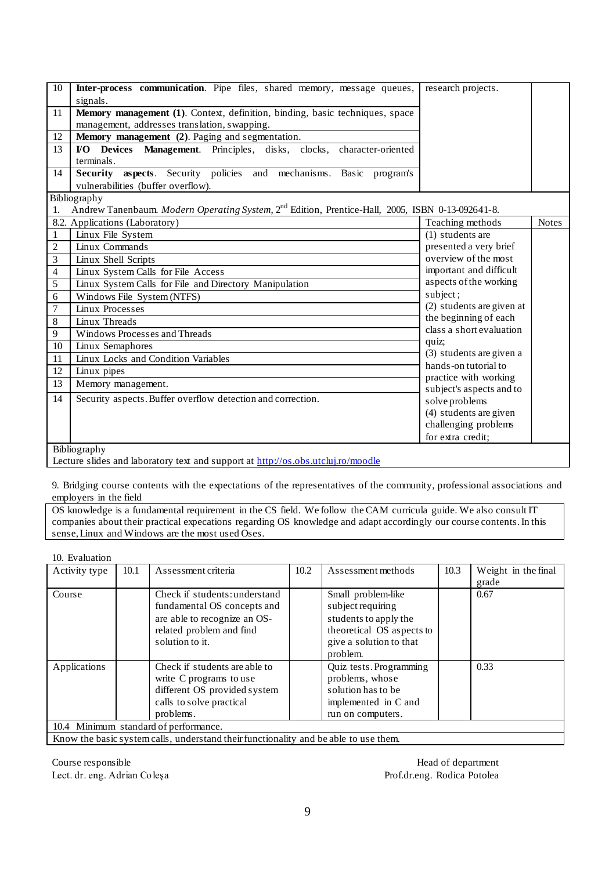| 10             | Inter-process communication. Pipe files, shared memory, message queues,                                      | research projects.                                |              |
|----------------|--------------------------------------------------------------------------------------------------------------|---------------------------------------------------|--------------|
|                | signals.                                                                                                     |                                                   |              |
| 11             | Memory management (1). Context, definition, binding, basic techniques, space                                 |                                                   |              |
|                | management, addresses translation, swapping.                                                                 |                                                   |              |
| 12             | Memory management (2). Paging and segmentation.                                                              |                                                   |              |
| 13             | VO Devices Management. Principles, disks, clocks, character-oriented                                         |                                                   |              |
|                | terminals.                                                                                                   |                                                   |              |
| 14             | Security aspects. Security policies and mechanisms. Basic<br>program's                                       |                                                   |              |
|                | vulnerabilities (buffer overflow).                                                                           |                                                   |              |
|                | Bibliography                                                                                                 |                                                   |              |
| 1.             | Andrew Tanenbaum. Modern Operating System, 2 <sup>nd</sup> Edition, Prentice-Hall, 2005, ISBN 0-13-092641-8. |                                                   |              |
|                | 8.2. Applications (Laboratory)                                                                               | Teaching methods                                  | <b>Notes</b> |
| $\mathbf{1}$   | Linux File System                                                                                            | (1) students are                                  |              |
| $\overline{c}$ | Linux Commands                                                                                               | presented a very brief                            |              |
| 3              | Linux Shell Scripts                                                                                          | overview of the most                              |              |
| 4              | Linux System Calls for File Access                                                                           | important and difficult                           |              |
| 5              | Linux System Calls for File and Directory Manipulation                                                       | aspects of the working                            |              |
| 6              | Windows File System (NTFS)                                                                                   | subject;                                          |              |
| 7              | Linux Processes                                                                                              | (2) students are given at                         |              |
| 8              | Linux Threads                                                                                                | the beginning of each                             |              |
| 9              | Windows Processes and Threads                                                                                | class a short evaluation                          |              |
| 10             | Linux Semaphores                                                                                             | quiz;                                             |              |
| 11             | Linux Locks and Condition Variables                                                                          | (3) students are given a                          |              |
| 12             | Linux pipes                                                                                                  | hands-on tutorial to                              |              |
| 13             | Memory management.                                                                                           | practice with working<br>subject's aspects and to |              |
| 14             | Security aspects. Buffer overflow detection and correction.                                                  | solve problems                                    |              |
|                |                                                                                                              | (4) students are given                            |              |
|                |                                                                                                              | challenging problems                              |              |
|                |                                                                                                              | for extra credit;                                 |              |
|                | Bibliography                                                                                                 |                                                   |              |
|                | Lecture slides and laboratory text and support at http://os.obs.utcluj.ro/moodle                             |                                                   |              |

9. Bridging course contents with the expectations of the representatives of the community, professional associations and employers in the field

OS knowledge is a fundamental requirement in the CS field. We follow the CAM curricula guide. We also consult IT companies about their practical expecations regarding OS knowledge and adapt accordingly our course contents. In this sense, Linux and Windows are the most used Oses.

| 10. Evaluation |      |                                                                                                                |      |                           |      |                     |
|----------------|------|----------------------------------------------------------------------------------------------------------------|------|---------------------------|------|---------------------|
| Activity type  | 10.1 | Assessment criteria                                                                                            | 10.2 | Assessment methods        | 10.3 | Weight in the final |
|                |      |                                                                                                                |      |                           |      | grade               |
| Course         |      | Check if students: understand                                                                                  |      | Small problem-like        |      | 0.67                |
|                |      | fundamental OS concepts and                                                                                    |      | subject requiring         |      |                     |
|                |      | are able to recognize an OS-                                                                                   |      | students to apply the     |      |                     |
|                |      | related problem and find                                                                                       |      | theoretical OS aspects to |      |                     |
|                |      | solution to it.                                                                                                |      | give a solution to that   |      |                     |
|                |      |                                                                                                                |      | problem.                  |      |                     |
| Applications   |      | Check if students are able to                                                                                  |      | Quiz tests. Programming   |      | 0.33                |
|                |      | write C programs to use                                                                                        |      | problems, whose           |      |                     |
|                |      | different OS provided system                                                                                   |      | solution has to be        |      |                     |
|                |      | calls to solve practical                                                                                       |      | implemented in C and      |      |                     |
|                |      | problems.                                                                                                      |      | run on computers.         |      |                     |
|                |      | 10.4 Minimum standard of performance.                                                                          |      |                           |      |                     |
| T              |      | and the contract of a state of the state of the state of the state of the state of the state of the state of t |      |                           |      |                     |

Know the basic system calls, understand their functionality and be able to use them.

Course responsible **Head of department** Lect. dr. eng. Adrian Coleșa Prof.dr.eng. Rodica Potolea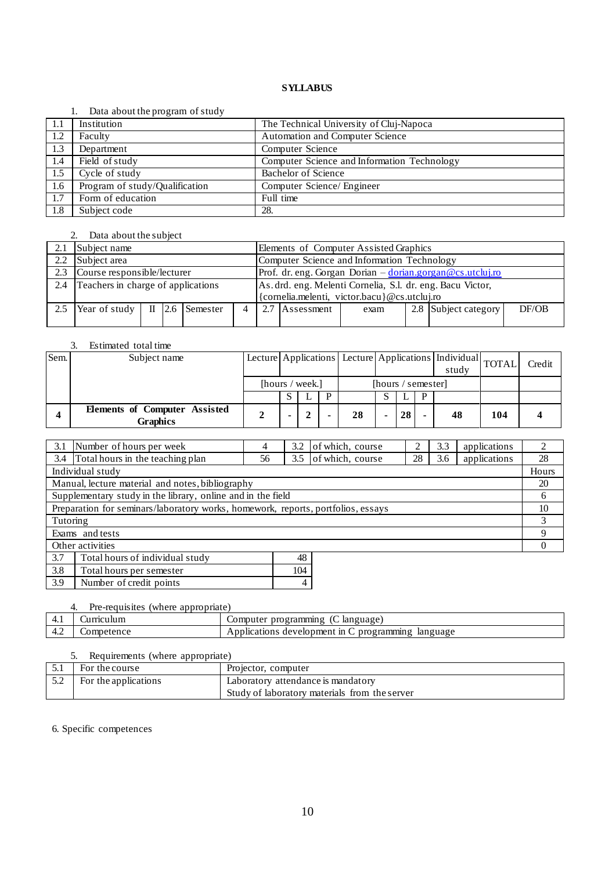#### 1. Data about the program of study

|      | $2.444$ $-0.644$ $-0.644$ $-0.644$ $-0.644$ |                                             |
|------|---------------------------------------------|---------------------------------------------|
| -1.1 | Institution                                 | The Technical University of Cluj-Napoca     |
| 1.2  | Faculty                                     | Automation and Computer Science             |
| 1.3  | Department                                  | Computer Science                            |
| 1.4  | Field of study                              | Computer Science and Information Technology |
| 1.5  | $\overline{\text{Cycle}}$ of study          | <b>Bachelor of Science</b>                  |
| 1.6  | Program of study/Qualification              | Computer Science/ Engineer                  |
| 1.7  | Form of education                           | Full time                                   |
| 1.8  | Subject code                                | 28.                                         |

#### 2. Data about the subject

|               | Subject name                                                                                              |  |  |  |  |  | Elements of Computer Assisted Graphics                                                   |      |  |                      |       |  |  |
|---------------|-----------------------------------------------------------------------------------------------------------|--|--|--|--|--|------------------------------------------------------------------------------------------|------|--|----------------------|-------|--|--|
| $2.2^{\circ}$ | Subject area                                                                                              |  |  |  |  |  | Computer Science and Information Technology                                              |      |  |                      |       |  |  |
| 2.3           | Course responsible/lecturer                                                                               |  |  |  |  |  | Prof. dr. eng. Gorgan Dorian $-\frac{\text{dorian.gorgan}\,\textcircled{ecs.}utcluiiro}$ |      |  |                      |       |  |  |
| 2.4           | Teachers in charge of applications                                                                        |  |  |  |  |  | As. drd. eng. Melenti Cornelia, S.l. dr. eng. Bacu Victor,                               |      |  |                      |       |  |  |
|               | {cornelia.melenti, victor.bacu}@cs.utcluj.ro                                                              |  |  |  |  |  |                                                                                          |      |  |                      |       |  |  |
| 2.5           | <b>Year of study</b> $\begin{array}{ c c c } \hline \text{II} & \text{2.6} & \text{Semester} \end{array}$ |  |  |  |  |  | 2.7 Assessment                                                                           | exam |  | 2.8 Subject category | DF/OB |  |  |
|               |                                                                                                           |  |  |  |  |  |                                                                                          |      |  |                      |       |  |  |

## 3. Estimated total time

| Sem. | Subject name                                            |     |                 |    |                    |    | Lecture Applications Lecture Applications   Individual TOTAL<br>study |     | Credit |
|------|---------------------------------------------------------|-----|-----------------|----|--------------------|----|-----------------------------------------------------------------------|-----|--------|
|      |                                                         |     | [hours / week.] |    | [hours / semester] |    |                                                                       |     |        |
|      |                                                         | ۰D. |                 |    |                    |    |                                                                       |     |        |
|      | <b>Elements of Computer Assisted</b><br><b>Graphics</b> |     |                 | 28 |                    | 28 | 48                                                                    | 104 |        |

| 3.1                                                                              | Number of hours per week<br>4                    |    | 3.2 | of which, course |    | 3.3 | applications |       |
|----------------------------------------------------------------------------------|--------------------------------------------------|----|-----|------------------|----|-----|--------------|-------|
| 3.4                                                                              | Total hours in the teaching plan                 | 56 | 3.5 | of which, course | 28 | 3.6 | applications | 28    |
|                                                                                  | Individual study                                 |    |     |                  |    |     |              | Hours |
|                                                                                  | Manual, lecture material and notes, bibliography |    |     |                  |    |     |              | 20    |
| Supplementary study in the library, online and in the field                      |                                                  |    |     |                  | 6  |     |              |       |
| Preparation for seminars/laboratory works, homework, reports, portfolios, essays |                                                  |    |     |                  |    | 10  |              |       |
| Tutoring                                                                         |                                                  |    |     |                  |    |     |              |       |
| Exams and tests                                                                  |                                                  |    |     |                  |    | Q   |              |       |
| Other activities                                                                 |                                                  |    |     |                  |    |     |              |       |
| 3.7<br>Total hours of individual study<br>48                                     |                                                  |    |     |                  |    |     |              |       |

| 3.8 | Total hours per semester |  |
|-----|--------------------------|--|
| 3.9 | Number of credit points  |  |
|     |                          |  |

## 4. Pre-requisites (where appropriate)

| <b>T.I</b> | alur      | ımmın g<br>language<br>ogra<br>n۳<br>computer                           |
|------------|-----------|-------------------------------------------------------------------------|
| −.∠        | 300<br>ക് | :velopmen<br>$\ln$<br>ımmın ı<br>language<br>Applications<br>dev<br>-га |

## 5. Requirements (where appropriate)

|     | For the course       | Projector, computer                           |
|-----|----------------------|-----------------------------------------------|
| J.L | For the applications | Laboratory attendance is mandatory            |
|     |                      | Study of laboratory materials from the server |

6. Specific competences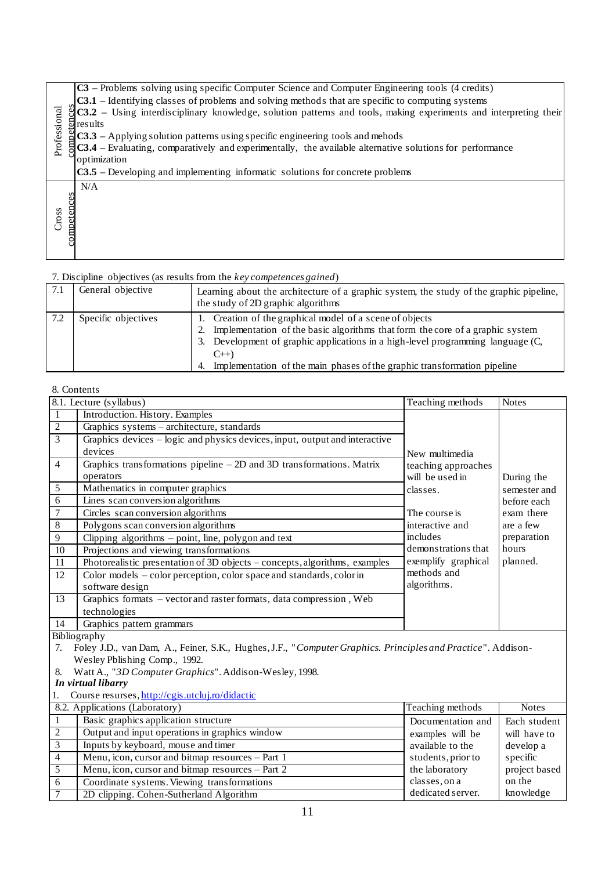|              | $\text{C3}$ – Problems solving using specific Computer Science and Computer Engineering tools (4 credits)                                                                                    |
|--------------|----------------------------------------------------------------------------------------------------------------------------------------------------------------------------------------------|
|              | $\textbf{C3.1}$ – Identifying classes of problems and solving methods that are specific to computing systems                                                                                 |
|              | $\frac{3}{2}$ C3.2 – Using interdisciplinary knowledge, solution patterns and tools, making experiments and interpreting their                                                               |
|              |                                                                                                                                                                                              |
| Professional | Example 1.1 and Example 1.1 and Example 2.1 and experimentally, the available alternative $\frac{1}{2}$ <b>C3.3</b> – Applying solution patterns using specific engineering tools and mehods |
|              | $\frac{1}{5}$ C3.4 – Evaluating, comparatively and experimentally, the available alternative solutions for performance                                                                       |
|              | optimization                                                                                                                                                                                 |
|              | $\textbf{C3.5}$ – Developing and implementing informatic solutions for concrete problems                                                                                                     |
|              | N/A                                                                                                                                                                                          |
|              |                                                                                                                                                                                              |
| competences  |                                                                                                                                                                                              |
| Cross        |                                                                                                                                                                                              |
|              |                                                                                                                                                                                              |
|              |                                                                                                                                                                                              |
|              |                                                                                                                                                                                              |

| 7.1 | General objective   | Learning about the architecture of a graphic system, the study of the graphic pipeline,<br>the study of 2D graphic algorithms                                                                                                                                                                                                       |
|-----|---------------------|-------------------------------------------------------------------------------------------------------------------------------------------------------------------------------------------------------------------------------------------------------------------------------------------------------------------------------------|
| 7.2 | Specific objectives | 1. Creation of the graphical model of a scene of objects<br>Implementation of the basic algorithms that form the core of a graphic system<br>2.<br>Development of graphic applications in a high-level programming language (C,<br>3.<br>$C_{++}$<br>Implementation of the main phases of the graphic transformation pipeline<br>4. |

## 8. Contents

| Professional         | $\frac{8}{2}$ C3.2 – Using interdisciplinary knowledge, solution patterns and tools, making experiments and interpreting their<br>$\frac{5}{9}$ results<br>$\triangle$ C3.3 – Applying solution patterns using specific engineering tools and mehods<br>$\sqrt{3.4}$ – Evaluating, comparatively and experimentally, the available alternative solutions for performance<br>optimization<br>$C3.5$ – Developing and implementing informatic solutions for concrete problems |                                                                                                                                                                                                                                                                                                                                     |                                                  |                         |  |  |  |
|----------------------|-----------------------------------------------------------------------------------------------------------------------------------------------------------------------------------------------------------------------------------------------------------------------------------------------------------------------------------------------------------------------------------------------------------------------------------------------------------------------------|-------------------------------------------------------------------------------------------------------------------------------------------------------------------------------------------------------------------------------------------------------------------------------------------------------------------------------------|--------------------------------------------------|-------------------------|--|--|--|
| competences<br>Cross | N/A                                                                                                                                                                                                                                                                                                                                                                                                                                                                         |                                                                                                                                                                                                                                                                                                                                     |                                                  |                         |  |  |  |
|                      |                                                                                                                                                                                                                                                                                                                                                                                                                                                                             | 7. Discipline objectives (as results from the key competences gained)                                                                                                                                                                                                                                                               |                                                  |                         |  |  |  |
| 7.1                  | General objective                                                                                                                                                                                                                                                                                                                                                                                                                                                           | Learning about the architecture of a graphic system, the study of the graphic pipeline,<br>the study of 2D graphic algorithms                                                                                                                                                                                                       |                                                  |                         |  |  |  |
| $7.2\,$              | Specific objectives                                                                                                                                                                                                                                                                                                                                                                                                                                                         | Creation of the graphical model of a scene of objects<br>1.<br>Implementation of the basic algorithms that form the core of a graphic system<br>2.<br>3. Development of graphic applications in a high-level programming language (C,<br>$C_{++}$<br>Implementation of the main phases of the graphic transformation pipeline<br>4. |                                                  |                         |  |  |  |
| 8. Contents          |                                                                                                                                                                                                                                                                                                                                                                                                                                                                             |                                                                                                                                                                                                                                                                                                                                     |                                                  |                         |  |  |  |
|                      | 8.1. Lecture (syllabus)                                                                                                                                                                                                                                                                                                                                                                                                                                                     |                                                                                                                                                                                                                                                                                                                                     | Teaching methods                                 | <b>Notes</b>            |  |  |  |
| $\mathbf{1}$         | Introduction. History. Examples                                                                                                                                                                                                                                                                                                                                                                                                                                             |                                                                                                                                                                                                                                                                                                                                     |                                                  |                         |  |  |  |
| $\overline{2}$       | Graphics systems - architecture, standards                                                                                                                                                                                                                                                                                                                                                                                                                                  |                                                                                                                                                                                                                                                                                                                                     |                                                  |                         |  |  |  |
| $\overline{3}$       |                                                                                                                                                                                                                                                                                                                                                                                                                                                                             | Graphics devices – logic and physics devices, input, output and interactive                                                                                                                                                                                                                                                         |                                                  |                         |  |  |  |
|                      | devices                                                                                                                                                                                                                                                                                                                                                                                                                                                                     |                                                                                                                                                                                                                                                                                                                                     | New multimedia                                   |                         |  |  |  |
| $\overline{4}$       |                                                                                                                                                                                                                                                                                                                                                                                                                                                                             | Graphics transformations pipeline $-2D$ and 3D transformations. Matrix                                                                                                                                                                                                                                                              | teaching approaches                              |                         |  |  |  |
|                      | operators                                                                                                                                                                                                                                                                                                                                                                                                                                                                   |                                                                                                                                                                                                                                                                                                                                     | will be used in                                  | During the              |  |  |  |
| 5                    | Mathematics in computer graphics                                                                                                                                                                                                                                                                                                                                                                                                                                            |                                                                                                                                                                                                                                                                                                                                     | classes.                                         | semester and            |  |  |  |
| 6                    | Lines scan conversion algorithms                                                                                                                                                                                                                                                                                                                                                                                                                                            |                                                                                                                                                                                                                                                                                                                                     |                                                  | before each             |  |  |  |
| 7                    | Circles scan conversion algorithms                                                                                                                                                                                                                                                                                                                                                                                                                                          |                                                                                                                                                                                                                                                                                                                                     | The course is                                    | exam there              |  |  |  |
| 8                    | Polygons scan conversion algorithms                                                                                                                                                                                                                                                                                                                                                                                                                                         |                                                                                                                                                                                                                                                                                                                                     | interactive and                                  | are a few               |  |  |  |
| 9                    | Clipping algorithms - point, line, polygon and text                                                                                                                                                                                                                                                                                                                                                                                                                         |                                                                                                                                                                                                                                                                                                                                     | includes                                         | preparation             |  |  |  |
| 10                   | Projections and viewing transformations                                                                                                                                                                                                                                                                                                                                                                                                                                     |                                                                                                                                                                                                                                                                                                                                     | demonstrations that                              | hours                   |  |  |  |
| 11                   |                                                                                                                                                                                                                                                                                                                                                                                                                                                                             | Photorealistic presentation of 3D objects - concepts, algorithms, examples                                                                                                                                                                                                                                                          | exemplify graphical                              | planned.                |  |  |  |
| 12                   | software design                                                                                                                                                                                                                                                                                                                                                                                                                                                             | Color models – color perception, color space and standards, color in                                                                                                                                                                                                                                                                | methods and<br>algorithms.                       |                         |  |  |  |
| 13                   |                                                                                                                                                                                                                                                                                                                                                                                                                                                                             | Graphics formats - vector and raster formats, data compression, Web                                                                                                                                                                                                                                                                 |                                                  |                         |  |  |  |
|                      | technologies                                                                                                                                                                                                                                                                                                                                                                                                                                                                |                                                                                                                                                                                                                                                                                                                                     |                                                  |                         |  |  |  |
| 14                   | Graphics pattern grammars                                                                                                                                                                                                                                                                                                                                                                                                                                                   |                                                                                                                                                                                                                                                                                                                                     |                                                  |                         |  |  |  |
|                      | Bibliography                                                                                                                                                                                                                                                                                                                                                                                                                                                                |                                                                                                                                                                                                                                                                                                                                     |                                                  |                         |  |  |  |
| 7.                   | Foley J.D., van Dam, A., Feiner, S.K., Hughes, J.F., "Computer Graphics. Principles and Practice". Addison-<br>Wesley Pblishing Comp., 1992.                                                                                                                                                                                                                                                                                                                                |                                                                                                                                                                                                                                                                                                                                     |                                                  |                         |  |  |  |
| 8.                   | Watt A., "3D Computer Graphics". Addison-Wesley, 1998.                                                                                                                                                                                                                                                                                                                                                                                                                      |                                                                                                                                                                                                                                                                                                                                     |                                                  |                         |  |  |  |
|                      | In virtual libarry                                                                                                                                                                                                                                                                                                                                                                                                                                                          |                                                                                                                                                                                                                                                                                                                                     |                                                  |                         |  |  |  |
| 1.                   | Course resurses, http://cgis.utcluj.ro/didactic<br>8.2. Applications (Laboratory)                                                                                                                                                                                                                                                                                                                                                                                           |                                                                                                                                                                                                                                                                                                                                     |                                                  |                         |  |  |  |
|                      | Teaching methods<br><b>Notes</b>                                                                                                                                                                                                                                                                                                                                                                                                                                            |                                                                                                                                                                                                                                                                                                                                     |                                                  |                         |  |  |  |
| 1                    | Basic graphics application structure<br>Documentation and<br>Each student                                                                                                                                                                                                                                                                                                                                                                                                   |                                                                                                                                                                                                                                                                                                                                     |                                                  |                         |  |  |  |
| $\overline{c}$<br>3  | Output and input operations in graphics window<br>examples will be<br>will have to<br>Inputs by keyboard, mouse and timer                                                                                                                                                                                                                                                                                                                                                   |                                                                                                                                                                                                                                                                                                                                     |                                                  |                         |  |  |  |
| 4                    |                                                                                                                                                                                                                                                                                                                                                                                                                                                                             |                                                                                                                                                                                                                                                                                                                                     | available to the<br>develop a                    |                         |  |  |  |
| 5                    | Menu, icon, cursor and bitmap resources - Part 1<br>Menu, icon, cursor and bitmap resources - Part 2                                                                                                                                                                                                                                                                                                                                                                        |                                                                                                                                                                                                                                                                                                                                     | students, prior to<br>specific<br>the laboratory |                         |  |  |  |
| $\sqrt{6}$           | Coordinate systems. Viewing transformations                                                                                                                                                                                                                                                                                                                                                                                                                                 |                                                                                                                                                                                                                                                                                                                                     | classes, on a                                    | project based<br>on the |  |  |  |
| $\overline{7}$       |                                                                                                                                                                                                                                                                                                                                                                                                                                                                             |                                                                                                                                                                                                                                                                                                                                     | dedicated server.                                | knowledge               |  |  |  |
|                      | 2D clipping. Cohen-Sutherland Algorithm                                                                                                                                                                                                                                                                                                                                                                                                                                     |                                                                                                                                                                                                                                                                                                                                     |                                                  |                         |  |  |  |

- 7. Foley J.D., van Dam, A., Feiner, S.K., Hughes, J.F., "*Computer Graphics. Principles and Practice*". Addison-Wesley Pblishing Comp., 1992.
- 8. Watt A., "*3D Computer Graphics*". Addison-Wesley, 1998.

#### *In virtual libarry*

|                | Course resurses, http://cgis.utcluj.ro/didactic                    |                    |               |  |  |  |
|----------------|--------------------------------------------------------------------|--------------------|---------------|--|--|--|
|                | 8.2. Applications (Laboratory)<br>Teaching methods<br><b>Notes</b> |                    |               |  |  |  |
|                | Basic graphics application structure                               | Documentation and  | Each student  |  |  |  |
| 2              | Output and input operations in graphics window                     | examples will be   | will have to  |  |  |  |
| 3              | Inputs by keyboard, mouse and timer                                | available to the   | develop a     |  |  |  |
| $\overline{4}$ | Menu, icon, cursor and bitmap resources - Part 1                   | students, prior to | specific      |  |  |  |
| -5             | Menu, icon, cursor and bitmap resources – Part 2                   | the laboratory     | project based |  |  |  |
| -6             | Coordinate systems. Viewing transformations                        | classes, on a      | on the        |  |  |  |
|                | 2D clipping. Cohen-Sutherland Algorithm                            | dedicated server.  | knowledge     |  |  |  |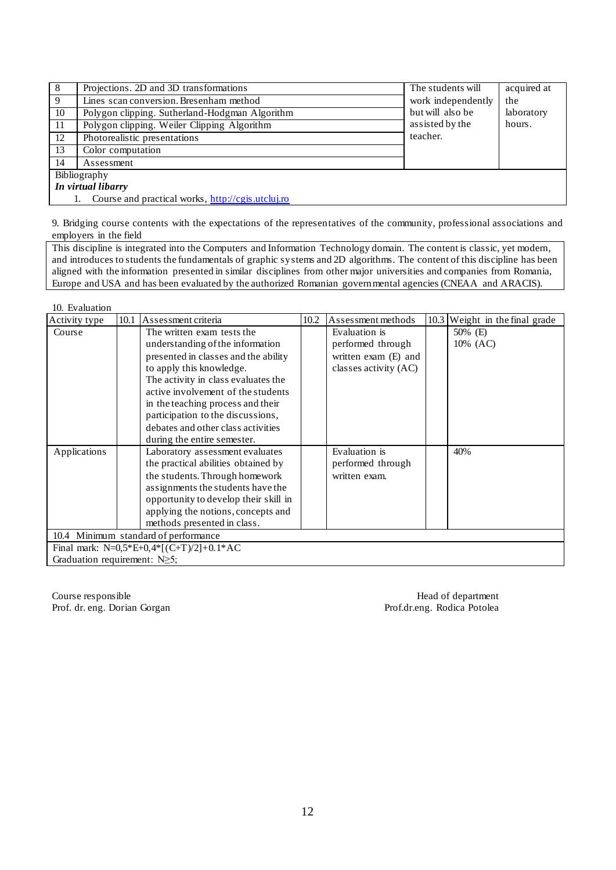| 8                  | Projections. 2D and 3D transformations            | The students will  | acquired at       |  |  |  |
|--------------------|---------------------------------------------------|--------------------|-------------------|--|--|--|
| 9                  | Lines scan conversion. Bresenham method           | work independently | the<br>laboratory |  |  |  |
| 10                 | Polygon clipping. Sutherland-Hodgman Algorithm    | but will also be   |                   |  |  |  |
| 11                 | Polygon clipping. Weiler Clipping Algorithm       | assisted by the    | hours.            |  |  |  |
| 12                 | Photorealistic presentations                      | teacher.           |                   |  |  |  |
| 13                 | Color computation                                 |                    |                   |  |  |  |
| 14                 | Assessment                                        |                    |                   |  |  |  |
| Bibliography       |                                                   |                    |                   |  |  |  |
| In virtual libarry |                                                   |                    |                   |  |  |  |
|                    | Course and practical works, http://cgis.utcluj.ro |                    |                   |  |  |  |

9. Bridging course contents with the expectations of the representatives of the community, professional associations and employers in the field

This discipline is integrated into the Computers and Information Technology domain. The content is classic, yet modern, and introduces to students the fundamentals of graphic systems and 2D algorithms. The content of this discipline has been aligned with the information presented in similar disciplines from other major universities and companies from Romania, Europe and USA and has been evaluated by the authorized Romanian governmental agencies (CNEAA and ARACIS).

| 10. Evaluation                       |                                      |                                                                                                                                                                                                                                                                                                                                 |      |                                                                                     |      |                           |
|--------------------------------------|--------------------------------------|---------------------------------------------------------------------------------------------------------------------------------------------------------------------------------------------------------------------------------------------------------------------------------------------------------------------------------|------|-------------------------------------------------------------------------------------|------|---------------------------|
| Activity type                        | 10.1                                 | Assessment criteria                                                                                                                                                                                                                                                                                                             | 10.2 | Assessment methods                                                                  | 10.3 | Weight in the final grade |
| Course                               |                                      | The written exam tests the<br>understanding of the information<br>presented in classes and the ability<br>to apply this knowledge.<br>The activity in class evaluates the<br>active involvement of the students<br>in the teaching process and their<br>participation to the discussions,<br>debates and other class activities |      | Evaluation is<br>performed through<br>written exam (E) and<br>classes activity (AC) |      | 50% (E)<br>10% (AC)       |
|                                      |                                      | during the entire semester.                                                                                                                                                                                                                                                                                                     |      |                                                                                     |      |                           |
| Applications                         |                                      | Laboratory assessment evaluates<br>the practical abilities obtained by<br>the students. Through homework<br>assignments the students have the<br>opportunity to develop their skill in<br>applying the notions, concepts and<br>methods presented in class.                                                                     |      | Evaluation is<br>performed through<br>written exam.                                 |      | 40%                       |
|                                      | 10.4 Minimum standard of performance |                                                                                                                                                                                                                                                                                                                                 |      |                                                                                     |      |                           |
|                                      |                                      | Final mark: $N=0.5*E+0.4*[(C+T)/2]+0.1*AC$                                                                                                                                                                                                                                                                                      |      |                                                                                     |      |                           |
| Graduation requirement: $N \geq 5$ ; |                                      |                                                                                                                                                                                                                                                                                                                                 |      |                                                                                     |      |                           |

Course responsible<br>
Prof. dr. eng. Dorian Gorgan<br>
Prof. dr. eng. Dorian Gorgan<br>
Prof. dr. eng. Dorian Gorgan Prof. dr. eng. Dorian Gorgan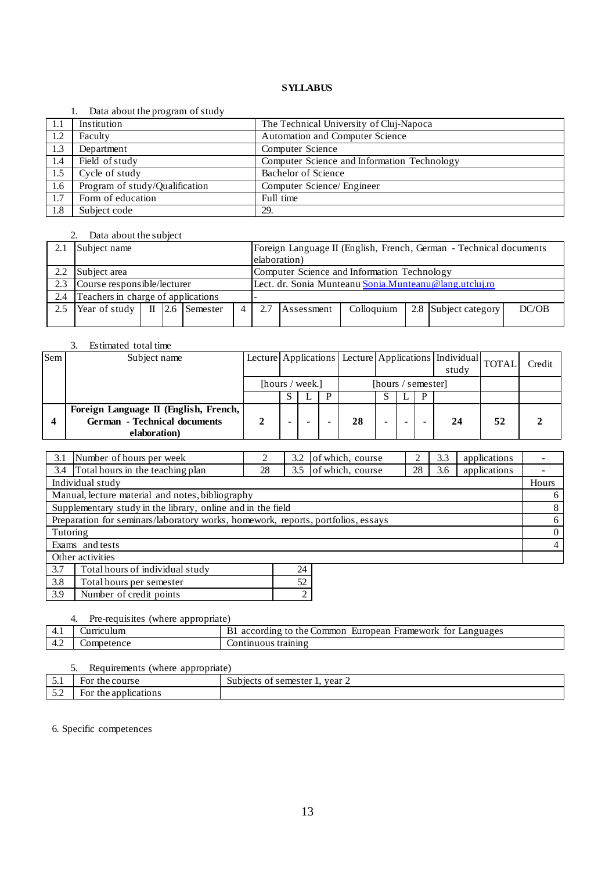#### 1. Data about the program of study

|     | $\sim$ and about the program of beau |                                             |  |  |  |
|-----|--------------------------------------|---------------------------------------------|--|--|--|
| 1.1 | Institution                          | The Technical University of Cluj-Napoca     |  |  |  |
| 1.2 | Faculty                              | Automation and Computer Science             |  |  |  |
| 1.3 | Department                           | Computer Science                            |  |  |  |
| 1.4 | Field of study                       | Computer Science and Information Technology |  |  |  |
| 1.5 | Cycle of study                       | <b>Bachelor of Science</b>                  |  |  |  |
| 1.6 | Program of study/Qualification       | Computer Science/ Engineer                  |  |  |  |
| 1.7 | Form of education                    | Full time                                   |  |  |  |
| 1.8 | Subject code                         | 29.                                         |  |  |  |

## 2. Data about the subject

| 2.1 | Subject name                       |       |      |          |  |                                                                  | Foreign Language II (English, French, German - Technical documents |  |  |  |  |  |  |
|-----|------------------------------------|-------|------|----------|--|------------------------------------------------------------------|--------------------------------------------------------------------|--|--|--|--|--|--|
|     |                                    |       |      |          |  |                                                                  | elaboration)                                                       |  |  |  |  |  |  |
| 2.2 | Subject area                       |       |      |          |  |                                                                  | Computer Science and Information Technology                        |  |  |  |  |  |  |
| 2.3 | Course responsible/lecturer        |       |      |          |  |                                                                  | Lect. dr. Sonia Munteanu Sonia. Munteanu @lang.utcluj.ro           |  |  |  |  |  |  |
| 2.4 | Teachers in charge of applications |       |      |          |  |                                                                  |                                                                    |  |  |  |  |  |  |
| 2.5 | Year of study                      | $\Pi$ | 12.6 | Semester |  | 2.7<br>2.8 Subject category<br>DC/OB<br>Colloquium<br>Assessment |                                                                    |  |  |  |  |  |  |
|     |                                    |       |      |          |  |                                                                  |                                                                    |  |  |  |  |  |  |

#### 3. Estimated total time

| Sem | Subject name                          |                 | Lecture Applications Lecture Applications   Individual TOTAL |  |                    |    |  |  | study |    | Credit |  |
|-----|---------------------------------------|-----------------|--------------------------------------------------------------|--|--------------------|----|--|--|-------|----|--------|--|
|     |                                       | [hours / week.] |                                                              |  | [hours / semester] |    |  |  |       |    |        |  |
|     |                                       |                 |                                                              |  |                    |    |  |  | D     |    |        |  |
|     | Foreign Language II (English, French, |                 |                                                              |  |                    |    |  |  |       |    |        |  |
|     | <b>German</b> - Technical documents   |                 | -                                                            |  |                    | 28 |  |  |       | 24 | 52     |  |
|     | elaboration)                          |                 |                                                              |  |                    |    |  |  |       |    |        |  |

| 3.1              | Number of hours per week                                                         |    | 3.2 | of which, course |    | 3.3 | applications |                |
|------------------|----------------------------------------------------------------------------------|----|-----|------------------|----|-----|--------------|----------------|
| 3.4              | Total hours in the teaching plan                                                 | 28 | 3.5 | of which, course | 28 | 3.6 | applications |                |
|                  | Individual study                                                                 |    |     |                  |    |     |              | Hours          |
|                  | Manual, lecture material and notes, bibliography                                 |    |     |                  |    |     |              | 6              |
|                  | Supplementary study in the library, online and in the field                      |    |     |                  |    |     |              | 8              |
|                  | Preparation for seminars/laboratory works, homework, reports, portfolios, essays |    |     |                  |    |     |              | 6              |
| Tutoring         |                                                                                  |    |     |                  |    |     |              | $\theta$       |
|                  | Exams and tests                                                                  |    |     |                  |    |     |              | $\overline{4}$ |
| Other activities |                                                                                  |    |     |                  |    |     |              |                |
| 3.7              | Total hours of individual study                                                  |    | 24  |                  |    |     |              |                |
| 3.8              | Total hours per semester                                                         |    | 52  |                  |    |     |              |                |

3.9 Number of credit points 2

# 4. Pre-requisites (where appropriate)

| $+.1$ | urnculum   | tor<br>Common<br>Framework<br>European<br>Languages<br>according<br>the<br>to.<br>IJ. |
|-------|------------|---------------------------------------------------------------------------------------|
| $+.4$ | Competence | , training<br>_ontinuous                                                              |

## 5. Requirements (where appropriate)

|                           |                         | .                                                      |
|---------------------------|-------------------------|--------------------------------------------------------|
| $\sim$ $\sim$<br>້ັ.⊥     | course:<br>the<br>For   | vear $\angle$<br>semester<br>11h100f0<br>∩1<br>υu<br>, |
| $\sim$ $\sim$<br><u>.</u> | the applications<br>For |                                                        |

6. Specific competences

 $\mathsf{l}$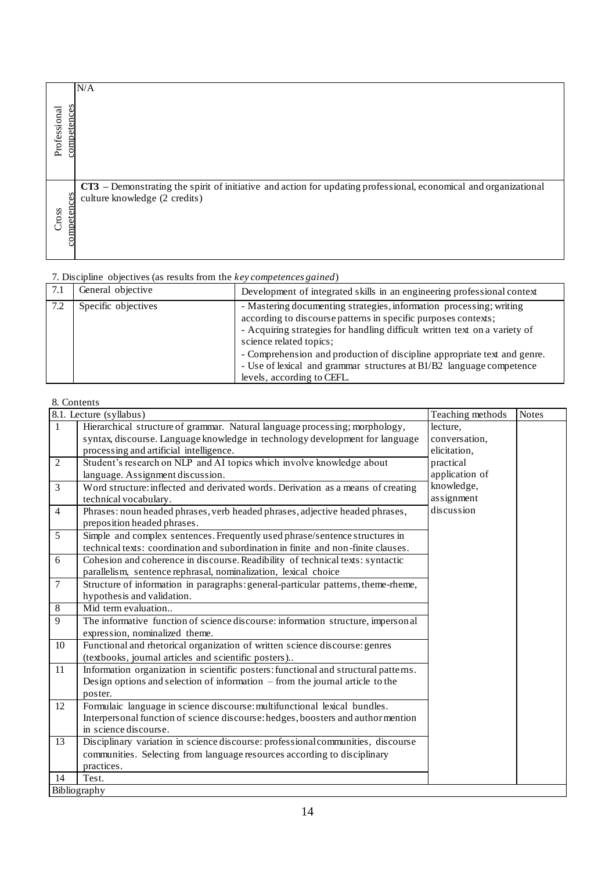|                             | N/A                                                                                                                                               |
|-----------------------------|---------------------------------------------------------------------------------------------------------------------------------------------------|
| competences<br>Professional |                                                                                                                                                   |
| competences<br>Cross        | CT3 – Demonstrating the spirit of initiative and action for updating professional, economical and organizational<br>culture knowledge (2 credits) |

|     | <i>i</i> . Discipling objectives (as results from the <i>key competences guinea)</i> |                                                                                                                                                                                                                                                                                                                                                                                                                                  |
|-----|--------------------------------------------------------------------------------------|----------------------------------------------------------------------------------------------------------------------------------------------------------------------------------------------------------------------------------------------------------------------------------------------------------------------------------------------------------------------------------------------------------------------------------|
| 7.1 | General objective                                                                    | Development of integrated skills in an engineering professional context                                                                                                                                                                                                                                                                                                                                                          |
| 7.2 | Specific objectives                                                                  | - Mastering documenting strategies, information processing; writing<br>according to discourse patterns in specific purposes contexts;<br>- Acquiring strategies for handling difficult written text on a variety of<br>science related topics;<br>- Comprehension and production of discipline appropriate text and genre.<br>- Use of lexical and grammar structures at B1/B2 language competence<br>levels, according to CEFL. |

# 8. Contents

| competences<br>Professional |                                                                                                                                                                        |                                                                                                                                                                                                                                                                                                                                                                                                                                  |                                           |              |
|-----------------------------|------------------------------------------------------------------------------------------------------------------------------------------------------------------------|----------------------------------------------------------------------------------------------------------------------------------------------------------------------------------------------------------------------------------------------------------------------------------------------------------------------------------------------------------------------------------------------------------------------------------|-------------------------------------------|--------------|
| competences<br>Cross        | culture knowledge (2 credits)                                                                                                                                          | CT3 – Demonstrating the spirit of initiative and action for updating professional, economical and organizational                                                                                                                                                                                                                                                                                                                 |                                           |              |
|                             | 7. Discipline objectives (as results from the key competences gained)                                                                                                  |                                                                                                                                                                                                                                                                                                                                                                                                                                  |                                           |              |
| 7.1                         | General objective                                                                                                                                                      | Development of integrated skills in an engineering professional context                                                                                                                                                                                                                                                                                                                                                          |                                           |              |
| 7.2                         | Specific objectives                                                                                                                                                    | - Mastering documenting strategies, information processing; writing<br>according to discourse patterns in specific purposes contexts;<br>- Acquiring strategies for handling difficult written text on a variety of<br>science related topics;<br>- Comprehension and production of discipline appropriate text and genre.<br>- Use of lexical and grammar structures at B1/B2 language competence<br>levels, according to CEFL. |                                           |              |
| 8. Contents                 |                                                                                                                                                                        |                                                                                                                                                                                                                                                                                                                                                                                                                                  |                                           |              |
|                             | 8.1. Lecture (syllabus)                                                                                                                                                |                                                                                                                                                                                                                                                                                                                                                                                                                                  | Teaching methods                          | <b>Notes</b> |
| $\mathbf{1}$                | processing and artificial intelligence.                                                                                                                                | Hierarchical structure of grammar. Natural language processing; morphology,<br>syntax, discourse. Language knowledge in technology development for language                                                                                                                                                                                                                                                                      | lecture,<br>conversation,<br>elicitation, |              |
| $\overline{2}$              |                                                                                                                                                                        | Student's research on NLP and AI topics which involve knowledge about                                                                                                                                                                                                                                                                                                                                                            | practical                                 |              |
|                             | language. Assignment discussion.                                                                                                                                       |                                                                                                                                                                                                                                                                                                                                                                                                                                  | application of<br>knowledge,              |              |
| 3                           | technical vocabulary.                                                                                                                                                  | Word structure: inflected and derivated words. Derivation as a means of creating                                                                                                                                                                                                                                                                                                                                                 | assignment                                |              |
| $\overline{4}$              |                                                                                                                                                                        | Phrases: noun headed phrases, verb headed phrases, adjective headed phrases,                                                                                                                                                                                                                                                                                                                                                     | discussion                                |              |
| 5                           | preposition headed phrases.                                                                                                                                            | Simple and complex sentences. Frequently used phrase/sentence structures in                                                                                                                                                                                                                                                                                                                                                      |                                           |              |
|                             |                                                                                                                                                                        | technical texts: coordination and subordination in finite and non-finite clauses.                                                                                                                                                                                                                                                                                                                                                |                                           |              |
| 6                           |                                                                                                                                                                        | Cohesion and coherence in discourse. Readibility of technical texts: syntactic                                                                                                                                                                                                                                                                                                                                                   |                                           |              |
|                             | parallelism, sentence rephrasal, nominalization, lexical choice                                                                                                        |                                                                                                                                                                                                                                                                                                                                                                                                                                  |                                           |              |
| $\tau$                      | hypothesis and validation.                                                                                                                                             | Structure of information in paragraphs: general-particular patterns, theme-rheme,                                                                                                                                                                                                                                                                                                                                                |                                           |              |
| 8                           | Mid term evaluation                                                                                                                                                    |                                                                                                                                                                                                                                                                                                                                                                                                                                  |                                           |              |
| 9                           |                                                                                                                                                                        | The informative function of science discourse: information structure, impersonal                                                                                                                                                                                                                                                                                                                                                 |                                           |              |
| 10                          | expression, nominalized theme.                                                                                                                                         | Functional and rhetorical organization of written science discourse: genres                                                                                                                                                                                                                                                                                                                                                      |                                           |              |
|                             | (textbooks, journal articles and scientific posters)                                                                                                                   |                                                                                                                                                                                                                                                                                                                                                                                                                                  |                                           |              |
| 11                          | Information organization in scientific posters: functional and structural patterns.<br>Design options and selection of information $-$ from the journal article to the |                                                                                                                                                                                                                                                                                                                                                                                                                                  |                                           |              |
|                             | poster.                                                                                                                                                                |                                                                                                                                                                                                                                                                                                                                                                                                                                  |                                           |              |
| 12                          |                                                                                                                                                                        | Formulaic language in science discourse: multifunctional lexical bundles.<br>Interpersonal function of science discourse: hedges, boosters and author mention                                                                                                                                                                                                                                                                    |                                           |              |
|                             | in science discourse.                                                                                                                                                  |                                                                                                                                                                                                                                                                                                                                                                                                                                  |                                           |              |
| 13                          |                                                                                                                                                                        | Disciplinary variation in science discourse: professional communities, discourse                                                                                                                                                                                                                                                                                                                                                 |                                           |              |
|                             |                                                                                                                                                                        | communities. Selecting from language resources according to disciplinary                                                                                                                                                                                                                                                                                                                                                         |                                           |              |
|                             | practices.                                                                                                                                                             |                                                                                                                                                                                                                                                                                                                                                                                                                                  |                                           |              |
| 14                          | Test.<br>Bibliography                                                                                                                                                  |                                                                                                                                                                                                                                                                                                                                                                                                                                  |                                           |              |
|                             |                                                                                                                                                                        |                                                                                                                                                                                                                                                                                                                                                                                                                                  |                                           |              |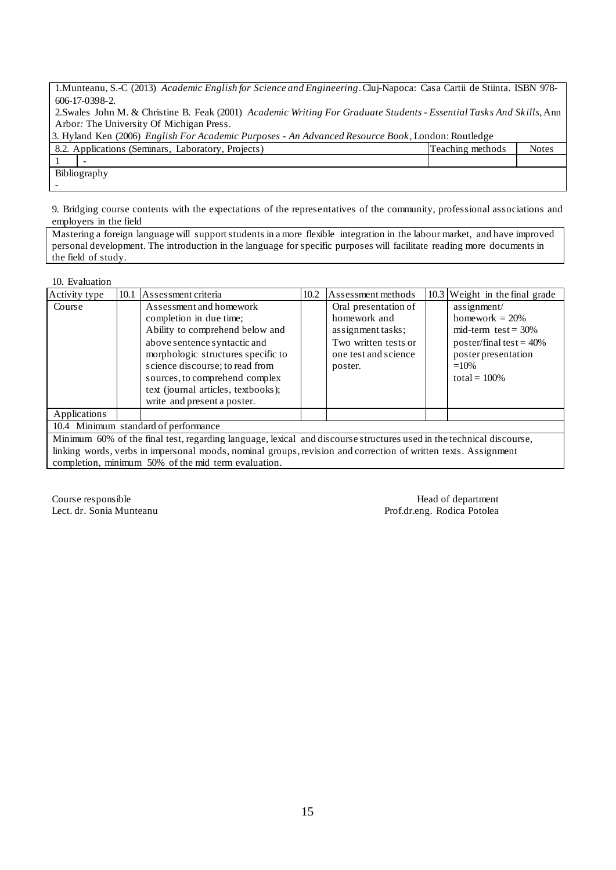1.Munteanu, S.-C (2013) *Academic English for Science and Engineering*. Cluj-Napoca: Casa Cartii de Stiinta. ISBN 978- 606-17-0398-2.

2.Swales John M. & Christine B. Feak (2001) *Academic Writing For Graduate Students - Essential Tasks And Skills*, Ann Arbor*:* The University Of Michigan Press.

| 3. Hyland Ken (2006) <i>English For Academic Purposes - An Advanced Resource Book</i> , London: Routledge |                  |              |  |  |  |  |  |  |
|-----------------------------------------------------------------------------------------------------------|------------------|--------------|--|--|--|--|--|--|
| 8.2. Applications (Seminars, Laboratory, Projects)                                                        | Teaching methods | <b>Notes</b> |  |  |  |  |  |  |
|                                                                                                           |                  |              |  |  |  |  |  |  |
| Bibliography                                                                                              |                  |              |  |  |  |  |  |  |
|                                                                                                           |                  |              |  |  |  |  |  |  |

9. Bridging course contents with the expectations of the representatives of the community, professional associations and employers in the field

Mastering a foreign language will support students in a more flexible integration in the labour market, and have improved personal development. The introduction in the language for specific purposes will facilitate reading more documents in the field of study.

10. Evaluation

| Activity type | 10.1 Assessment criteria                                                                                                                                                                                                                                                                               | 10.2 | Assessment methods                                                                                                   | 10.3 | Weight in the final grade                                                                                                                   |
|---------------|--------------------------------------------------------------------------------------------------------------------------------------------------------------------------------------------------------------------------------------------------------------------------------------------------------|------|----------------------------------------------------------------------------------------------------------------------|------|---------------------------------------------------------------------------------------------------------------------------------------------|
| Course        | Assessment and homework<br>completion in due time;<br>Ability to comprehend below and<br>above sentence syntactic and<br>morphologic structures specific to<br>science discourse; to read from<br>sources, to comprehend complex<br>text (journal articles, textbooks);<br>write and present a poster. |      | Oral presentation of<br>homework and<br>assignment tasks:<br>Two written tests or<br>one test and science<br>poster. |      | assignment/<br>homework $= 20\%$<br>mid-term test = $30\%$<br>poster/final test = $40\%$<br>posterpresentation<br>$=10%$<br>total = $100\%$ |
| Applications  |                                                                                                                                                                                                                                                                                                        |      |                                                                                                                      |      |                                                                                                                                             |
|               | 10.4 Minimum standard of performance                                                                                                                                                                                                                                                                   |      |                                                                                                                      |      |                                                                                                                                             |
|               | Minimum 60% of the final test, regarding language, lexical and discourse structures used in the technical discourse,                                                                                                                                                                                   |      |                                                                                                                      |      |                                                                                                                                             |
|               | linking words, verbs in impersonal moods, nominal groups, revision and correction of written texts. Assignment                                                                                                                                                                                         |      |                                                                                                                      |      |                                                                                                                                             |

completion, minimum 50% of the mid term evaluation.

Course responsible Head of department Lect. dr. Sonia Munteanu **Prof.dr.eng. Rodica Potolea**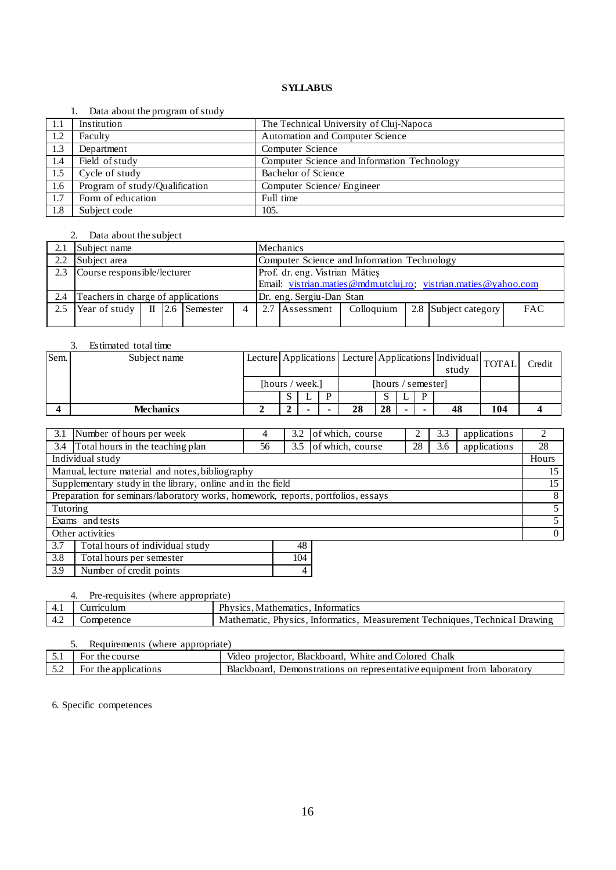#### 1. Data about the program of study

| -1.1 | Institution                    | The Technical University of Cluj-Napoca     |
|------|--------------------------------|---------------------------------------------|
| 1.2  | Faculty                        | Automation and Computer Science             |
| 1.3  | Department                     | Computer Science                            |
| 1.4  | Field of study                 | Computer Science and Information Technology |
| 1.5  | Cycle of study                 | Bachelor of Science                         |
| 1.6  | Program of study/Qualification | Computer Science/ Engineer                  |
| 1.7  | Form of education              | Full time                                   |
| 1.8  | Subject code                   | 105.                                        |

# 2. Data about the subject

| 2.1 | Mechanics<br>Subject name          |  |  |                |                |                                                                    |                                                                 |  |  |  |  |  |  |
|-----|------------------------------------|--|--|----------------|----------------|--------------------------------------------------------------------|-----------------------------------------------------------------|--|--|--|--|--|--|
| 2.2 | Subject area                       |  |  |                |                |                                                                    | Computer Science and Information Technology                     |  |  |  |  |  |  |
| 2.3 | Course responsible/lecturer        |  |  |                |                |                                                                    | Prof. dr. eng. Vistrian Mătieș                                  |  |  |  |  |  |  |
|     |                                    |  |  |                |                |                                                                    | Email: vistrian.maties@mdm.utcluj.ro; vistrian.maties@yahoo.com |  |  |  |  |  |  |
| 2.4 | Teachers in charge of applications |  |  |                |                |                                                                    | Dr. eng. Sergiu-Dan Stan                                        |  |  |  |  |  |  |
| 2.5 | Year of study $\parallel$ II       |  |  | $2.6$ Semester | $\overline{4}$ | 2.7 Assessment<br>2.8 Subject category<br><b>FAC</b><br>Colloquium |                                                                 |  |  |  |  |  |  |
|     |                                    |  |  |                |                |                                                                    |                                                                 |  |  |  |  |  |  |

## 3. Estimated total time

| Sem. | Subject name     |                 |  |                    |    |    |     | Lecture Applications Lecture Applications Individual TOTAL<br>study |    |     | Credit |
|------|------------------|-----------------|--|--------------------|----|----|-----|---------------------------------------------------------------------|----|-----|--------|
|      |                  | [hours / week.] |  | [hours / semester] |    |    |     |                                                                     |    |     |        |
|      |                  |                 |  | D                  |    |    |     | D                                                                   |    |     |        |
|      | <b>Mechanics</b> |                 |  |                    | 28 | 28 | . . |                                                                     | 48 | 104 |        |

| 3.1                                                                              | Number of hours per week         | 4  | 3.2 | of which, course |    | 3.3      | applications |    |
|----------------------------------------------------------------------------------|----------------------------------|----|-----|------------------|----|----------|--------------|----|
| 3.4                                                                              | Total hours in the teaching plan | 56 | 3.5 | of which, course | 28 | 3.6      | applications | 28 |
| Individual study                                                                 |                                  |    |     |                  |    |          | Hours        |    |
| Manual, lecture material and notes, bibliography                                 |                                  |    |     |                  |    |          | 15           |    |
| Supplementary study in the library, online and in the field                      |                                  |    |     |                  |    |          | 15           |    |
| Preparation for seminars/laboratory works, homework, reports, portfolios, essays |                                  |    |     |                  |    |          | 8            |    |
| Tutoring                                                                         |                                  |    |     |                  |    |          | 5            |    |
| Exams and tests                                                                  |                                  |    |     |                  |    | 5.       |              |    |
| Other activities                                                                 |                                  |    |     |                  |    | $\Omega$ |              |    |
| 3.7                                                                              | Total hours of individual study  |    | 48  |                  |    |          |              |    |
| 3.8                                                                              | Total hours per semester         |    | 104 |                  |    |          |              |    |

| $\vert 3.9 \vert$ | Number of credit points |  |
|-------------------|-------------------------|--|
|                   |                         |  |

| Pre-requisites (where appropriate) |            |                                                                             |  |  |  |  |  |  |
|------------------------------------|------------|-----------------------------------------------------------------------------|--|--|--|--|--|--|
| -4.1                               | Curriculum | Physics. Mathematics. Informatics                                           |  |  |  |  |  |  |
| 4.2                                | Competence | Mathematic, Physics, Informatics, Measurement Techniques, Technical Drawing |  |  |  |  |  |  |

| Requirements (where appropriate) |                      |                                                                        |  |  |  |  |  |  |
|----------------------------------|----------------------|------------------------------------------------------------------------|--|--|--|--|--|--|
|                                  | For the course       | Video projector, Blackboard, White and Colored Chalk                   |  |  |  |  |  |  |
| 5.2                              | For the applications | Blackboard, Demonstrations on representative equipment from laboratory |  |  |  |  |  |  |

6. Specific competences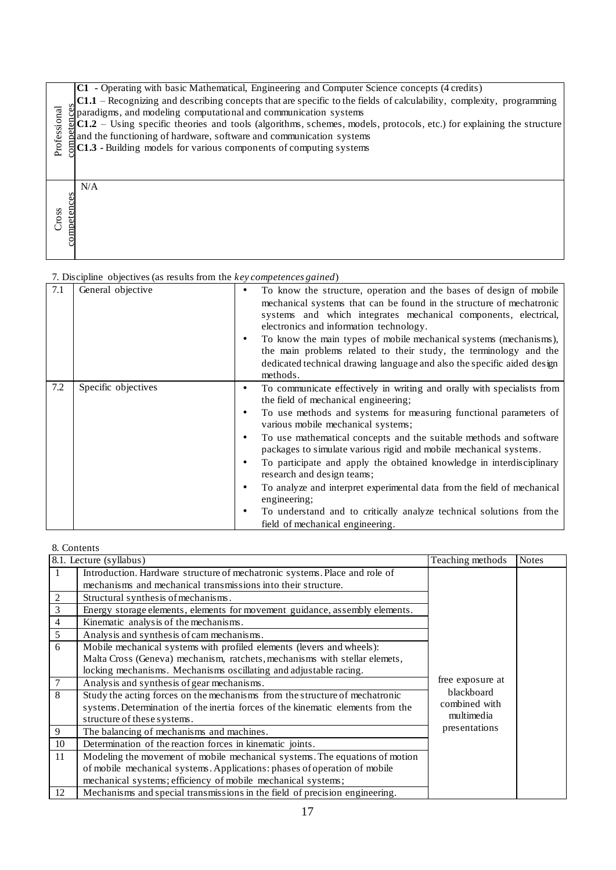|                      | - Operating with basic Mathematical, Engineering and Computer Science concepts (4 credits)<br>C1                                   |
|----------------------|------------------------------------------------------------------------------------------------------------------------------------|
|                      | C1.1 – Recognizing and describing concepts that are specific to the fields of calculability, complexity, programming               |
|                      | glparadigms, and modeling computational and communication systems                                                                  |
|                      | $\frac{1}{2}$ C1.2 – Using specific theories and tools (algorithms, schemes, models, protocols, etc.) for explaining the structure |
|                      | and the functioning of hardware, software and communication systems                                                                |
| Professional         | $\Xi$ C1.3 - Building models for various components of computing systems                                                           |
|                      |                                                                                                                                    |
|                      |                                                                                                                                    |
|                      | N/A                                                                                                                                |
|                      |                                                                                                                                    |
|                      |                                                                                                                                    |
| competences<br>Cross |                                                                                                                                    |
|                      |                                                                                                                                    |
|                      |                                                                                                                                    |
|                      |                                                                                                                                    |

| Professional                             | $\frac{S}{S}$ paradigms, and modeling computational and communication systems<br>$\frac{S}{S}$ C1.2 – Using specific theories and tools (algorithms, schemes, model)<br>and the functioning of hardware, software and communication systems<br>$C1.2$ – Using specific theories and tools (algorithms, schemes, models, protocols, etc.) for explaining the structure<br>C1.3 - Building models for various components of computing systems                                                                                                                                                                                                                                                                                                                                            |                                                                                                                                                                                                                                                                                                                                                                                                                                                                               |                             |              |  |  |  |  |  |
|------------------------------------------|----------------------------------------------------------------------------------------------------------------------------------------------------------------------------------------------------------------------------------------------------------------------------------------------------------------------------------------------------------------------------------------------------------------------------------------------------------------------------------------------------------------------------------------------------------------------------------------------------------------------------------------------------------------------------------------------------------------------------------------------------------------------------------------|-------------------------------------------------------------------------------------------------------------------------------------------------------------------------------------------------------------------------------------------------------------------------------------------------------------------------------------------------------------------------------------------------------------------------------------------------------------------------------|-----------------------------|--------------|--|--|--|--|--|
| competences<br>Cross                     | N/A                                                                                                                                                                                                                                                                                                                                                                                                                                                                                                                                                                                                                                                                                                                                                                                    |                                                                                                                                                                                                                                                                                                                                                                                                                                                                               |                             |              |  |  |  |  |  |
|                                          | 7. Discipline objectives (as results from the key competences gained)                                                                                                                                                                                                                                                                                                                                                                                                                                                                                                                                                                                                                                                                                                                  |                                                                                                                                                                                                                                                                                                                                                                                                                                                                               |                             |              |  |  |  |  |  |
| 7.1                                      | General objective<br>$\bullet$<br>methods.                                                                                                                                                                                                                                                                                                                                                                                                                                                                                                                                                                                                                                                                                                                                             | To know the structure, operation and the bases of design of mobile<br>mechanical systems that can be found in the structure of mechatronic<br>systems and which integrates mechanical components, electrical,<br>electronics and information technology.<br>To know the main types of mobile mechanical systems (mechanisms),<br>the main problems related to their study, the terminology and the<br>dedicated technical drawing language and also the specific aided design |                             |              |  |  |  |  |  |
| 7.2                                      | Specific objectives<br>To communicate effectively in writing and orally with specialists from<br>$\bullet$<br>the field of mechanical engineering;<br>To use methods and systems for measuring functional parameters of<br>$\bullet$<br>various mobile mechanical systems;<br>To use mathematical concepts and the suitable methods and software<br>$\bullet$<br>packages to simulate various rigid and mobile mechanical systems.<br>To participate and apply the obtained knowledge in interdisciplinary<br>$\bullet$<br>research and design teams;<br>To analyze and interpret experimental data from the field of mechanical<br>$\bullet$<br>engineering;<br>To understand and to critically analyze technical solutions from the<br>$\bullet$<br>field of mechanical engineering. |                                                                                                                                                                                                                                                                                                                                                                                                                                                                               |                             |              |  |  |  |  |  |
|                                          | 8. Contents                                                                                                                                                                                                                                                                                                                                                                                                                                                                                                                                                                                                                                                                                                                                                                            |                                                                                                                                                                                                                                                                                                                                                                                                                                                                               |                             |              |  |  |  |  |  |
|                                          | 8.1. Lecture (syllabus)                                                                                                                                                                                                                                                                                                                                                                                                                                                                                                                                                                                                                                                                                                                                                                |                                                                                                                                                                                                                                                                                                                                                                                                                                                                               | Teaching methods            | <b>Notes</b> |  |  |  |  |  |
| $\mathbf{1}$<br>2<br>3<br>$\overline{4}$ | Introduction. Hardware structure of mechatronic systems. Place and role of<br>mechanisms and mechanical transmissions into their structure.<br>Structural synthesis of mechanisms.<br>Energy storage elements, elements for movement guidance, assembly elements.<br>Kinematic analysis of the mechanisms.                                                                                                                                                                                                                                                                                                                                                                                                                                                                             |                                                                                                                                                                                                                                                                                                                                                                                                                                                                               |                             |              |  |  |  |  |  |
| 5                                        | Analysis and synthesis of cam mechanisms.                                                                                                                                                                                                                                                                                                                                                                                                                                                                                                                                                                                                                                                                                                                                              |                                                                                                                                                                                                                                                                                                                                                                                                                                                                               |                             |              |  |  |  |  |  |
| $6\,$                                    |                                                                                                                                                                                                                                                                                                                                                                                                                                                                                                                                                                                                                                                                                                                                                                                        |                                                                                                                                                                                                                                                                                                                                                                                                                                                                               |                             |              |  |  |  |  |  |
|                                          | Mobile mechanical systems with profiled elements (levers and wheels):<br>Malta Cross (Geneva) mechanism, ratchets, mechanisms with stellar elemets,                                                                                                                                                                                                                                                                                                                                                                                                                                                                                                                                                                                                                                    |                                                                                                                                                                                                                                                                                                                                                                                                                                                                               |                             |              |  |  |  |  |  |
|                                          | locking mechanisms. Mechanisms oscillating and adjustable racing.                                                                                                                                                                                                                                                                                                                                                                                                                                                                                                                                                                                                                                                                                                                      |                                                                                                                                                                                                                                                                                                                                                                                                                                                                               | free exposure at            |              |  |  |  |  |  |
| $\boldsymbol{7}$                         | Analysis and synthesis of gear mechanisms.                                                                                                                                                                                                                                                                                                                                                                                                                                                                                                                                                                                                                                                                                                                                             |                                                                                                                                                                                                                                                                                                                                                                                                                                                                               | blackboard                  |              |  |  |  |  |  |
| $\overline{8}$                           | Study the acting forces on the mechanisms from the structure of mechatronic<br>systems. Determination of the inertia forces of the kinematic elements from the                                                                                                                                                                                                                                                                                                                                                                                                                                                                                                                                                                                                                         |                                                                                                                                                                                                                                                                                                                                                                                                                                                                               | combined with<br>multimedia |              |  |  |  |  |  |
|                                          | structure of these systems.                                                                                                                                                                                                                                                                                                                                                                                                                                                                                                                                                                                                                                                                                                                                                            |                                                                                                                                                                                                                                                                                                                                                                                                                                                                               |                             |              |  |  |  |  |  |
| 9                                        | The balancing of mechanisms and machines.                                                                                                                                                                                                                                                                                                                                                                                                                                                                                                                                                                                                                                                                                                                                              |                                                                                                                                                                                                                                                                                                                                                                                                                                                                               | presentations               |              |  |  |  |  |  |
| 10                                       | Determination of the reaction forces in kinematic joints.                                                                                                                                                                                                                                                                                                                                                                                                                                                                                                                                                                                                                                                                                                                              |                                                                                                                                                                                                                                                                                                                                                                                                                                                                               |                             |              |  |  |  |  |  |
| 11                                       | Modeling the movement of mobile mechanical systems. The equations of motion<br>of mobile mechanical systems. Applications: phases of operation of mobile                                                                                                                                                                                                                                                                                                                                                                                                                                                                                                                                                                                                                               |                                                                                                                                                                                                                                                                                                                                                                                                                                                                               |                             |              |  |  |  |  |  |
|                                          | mechanical systems; efficiency of mobile mechanical systems;                                                                                                                                                                                                                                                                                                                                                                                                                                                                                                                                                                                                                                                                                                                           |                                                                                                                                                                                                                                                                                                                                                                                                                                                                               |                             |              |  |  |  |  |  |
| 12                                       | Mechanisms and special transmissions in the field of precision engineering.                                                                                                                                                                                                                                                                                                                                                                                                                                                                                                                                                                                                                                                                                                            |                                                                                                                                                                                                                                                                                                                                                                                                                                                                               |                             |              |  |  |  |  |  |

# 8. Contents<br>8.1. Lecture (syllabus)

|    | 8.1. Lecture (syllabus)                                                         | Teaching methods | <b>Notes</b> |
|----|---------------------------------------------------------------------------------|------------------|--------------|
|    | Introduction. Hardware structure of mechatronic systems. Place and role of      |                  |              |
|    | mechanisms and mechanical transmissions into their structure.                   |                  |              |
| 2  | Structural synthesis of mechanisms.                                             |                  |              |
| 3  | Energy storage elements, elements for movement guidance, assembly elements.     |                  |              |
| 4  | Kinematic analysis of the mechanisms.                                           |                  |              |
| 5  | Analysis and synthesis of cam mechanisms.                                       |                  |              |
| 6  | Mobile mechanical systems with profiled elements (levers and wheels):           |                  |              |
|    | Malta Cross (Geneva) mechanism, ratchets, mechanisms with stellar elemets,      |                  |              |
|    | locking mechanisms. Mechanisms oscillating and adjustable racing.               |                  |              |
| 7  | Analysis and synthesis of gear mechanisms.                                      | free exposure at |              |
| 8  | Study the acting forces on the mechanisms from the structure of mechatronic     | blackboard       |              |
|    | systems. Determination of the inertia forces of the kinematic elements from the | combined with    |              |
|    | structure of these systems.                                                     | multimedia       |              |
| 9  | The balancing of mechanisms and machines.                                       | presentations    |              |
| 10 | Determination of the reaction forces in kinematic joints.                       |                  |              |
| 11 | Modeling the movement of mobile mechanical systems. The equations of motion     |                  |              |
|    | of mobile mechanical systems. Applications: phases of operation of mobile       |                  |              |
|    | mechanical systems; efficiency of mobile mechanical systems;                    |                  |              |
| 12 | Mechanisms and special transmissions in the field of precision engineering.     |                  |              |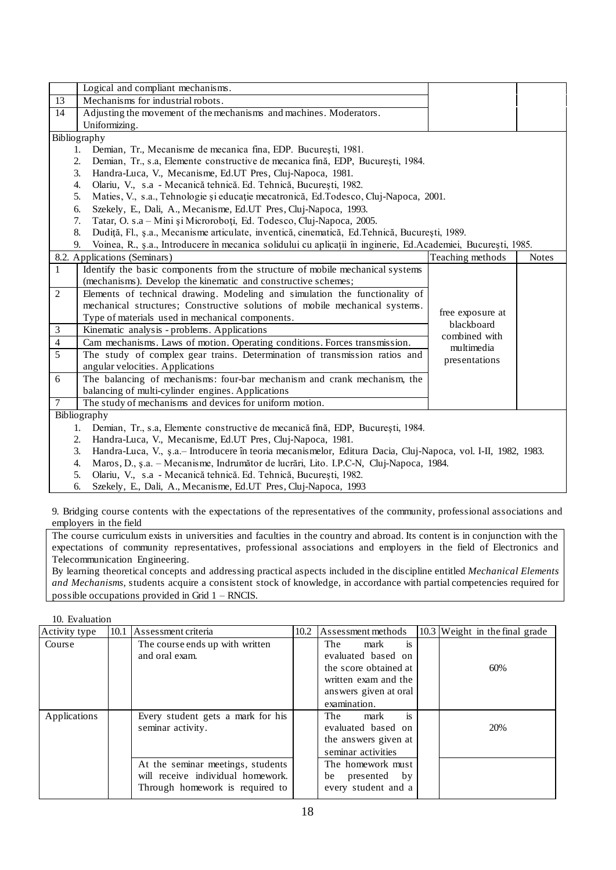|                | Logical and compliant mechanisms.                                                                                    |                             |              |
|----------------|----------------------------------------------------------------------------------------------------------------------|-----------------------------|--------------|
| 13             | Mechanisms for industrial robots.                                                                                    |                             |              |
| 14             | Adjusting the movement of the mechanisms and machines. Moderators.                                                   |                             |              |
|                | Uniformizing.                                                                                                        |                             |              |
|                | Bibliography                                                                                                         |                             |              |
|                | Demian, Tr., Mecanisme de mecanica fina, EDP. București, 1981.<br>1.                                                 |                             |              |
|                | Demian, Tr., s.a, Elemente constructive de mecanica fină, EDP, București, 1984.<br>2.                                |                             |              |
|                | Handra-Luca, V., Mecanisme, Ed.UT Pres, Cluj-Napoca, 1981.<br>3.                                                     |                             |              |
|                | Olariu, V., s.a - Mecanică tehnică. Ed. Tehnică, București, 1982.<br>4.                                              |                             |              |
|                | 5.<br>Maties, V., s.a., Tehnologie și educație mecatronică, Ed.Todesco, Cluj-Napoca, 2001.                           |                             |              |
|                | Szekely, E., Dali, A., Mecanisme, Ed.UT Pres, Cluj-Napoca, 1993.<br>6.                                               |                             |              |
|                | Tatar, O. s.a - Mini și Microroboți, Ed. Todesco, Cluj-Napoca, 2005.<br>7.                                           |                             |              |
|                | Dudiță, Fl., ș.a., Mecanisme articulate, inventică, cinematică, Ed.Tehnică, București, 1989.<br>8.                   |                             |              |
|                | Voinea, R., ș.a., Introducere în mecanica solidului cu aplicații în inginerie, Ed.Academiei, București, 1985.<br>9.  |                             |              |
|                | 8.2. Applications (Seminars)                                                                                         | Teaching methods            | <b>Notes</b> |
| $\mathbf{1}$   | Identify the basic components from the structure of mobile mechanical systems                                        |                             |              |
|                | (mechanisms). Develop the kinematic and constructive schemes;                                                        |                             |              |
| $\overline{2}$ | Elements of technical drawing. Modeling and simulation the functionality of                                          |                             |              |
|                | mechanical structures; Constructive solutions of mobile mechanical systems.                                          |                             |              |
|                | Type of materials used in mechanical components.                                                                     | free exposure at            |              |
| 3              | Kinematic analysis - problems. Applications                                                                          | blackboard<br>combined with |              |
| $\overline{4}$ | Cam mechanisms. Laws of motion. Operating conditions. Forces transmission.                                           | multimedia                  |              |
| 5              | The study of complex gear trains. Determination of transmission ratios and                                           | presentations               |              |
|                | angular velocities. Applications                                                                                     |                             |              |
| 6              | The balancing of mechanisms: four-bar mechanism and crank mechanism, the                                             |                             |              |
|                | balancing of multi-cylinder engines. Applications                                                                    |                             |              |
| $\overline{7}$ | The study of mechanisms and devices for uniform motion.                                                              |                             |              |
|                | Bibliography                                                                                                         |                             |              |
|                | Demian, Tr., s.a. Elemente constructive de mecanică fină, EDP, București, 1984.<br>1.                                |                             |              |
|                | Handra-Luca, V., Mecanisme, Ed.UT Pres, Cluj-Napoca, 1981.<br>2.                                                     |                             |              |
|                | 3.<br>Handra-Luca, V., ș.a. – Introducere în teoria mecanismelor, Editura Dacia, Cluj-Napoca, vol. I-II, 1982, 1983. |                             |              |

- 4. Maros, D., ş.a. Mecanisme, Indrumător de lucrări, Lito. I.P.C-N, Cluj-Napoca, 1984.
- 5. Olariu, V., s.a Mecanică tehnică. Ed. Tehnică, Bucureşti, 1982.

6. Szekely, E., Dali, A., Mecanisme, Ed.UT Pres, Cluj-Napoca, 1993

9. Bridging course contents with the expectations of the representatives of the community, professional associations and employers in the field

The course curriculum exists in universities and faculties in the country and abroad. Its content is in conjunction with the expectations of community representatives, professional associations and employers in the field of Electronics and Telecommunication Engineering.

By learning theoretical concepts and addressing practical aspects included in the discipline entitled *Mechanical Elements and Mechanisms*, students acquire a consistent stock of knowledge, in accordance with partial competencies required for possible occupations provided in Grid 1 – RNCIS.

| 10. Evaluation |      |                                                                                                           |      |                                                                                       |                                  |
|----------------|------|-----------------------------------------------------------------------------------------------------------|------|---------------------------------------------------------------------------------------|----------------------------------|
| Activity type  | 10.1 | Assessment criteria                                                                                       | 10.2 | Assessment methods                                                                    | $10.3$ Weight in the final grade |
| Course         |      | The course ends up with written<br>and oral exam.                                                         |      | is<br>The<br>mark<br>evaluated based on<br>the score obtained at                      | 60%                              |
|                |      |                                                                                                           |      | written exam and the<br>answers given at oral<br>examination.                         |                                  |
| Applications   |      | Every student gets a mark for his<br>seminar activity.                                                    |      | is<br>The<br>mark<br>evaluated based on<br>the answers given at<br>seminar activities | 20%                              |
|                |      | At the seminar meetings, students<br>will receive individual homework.<br>Through homework is required to |      | The homework must<br>presented<br>by<br>be<br>every student and a                     |                                  |